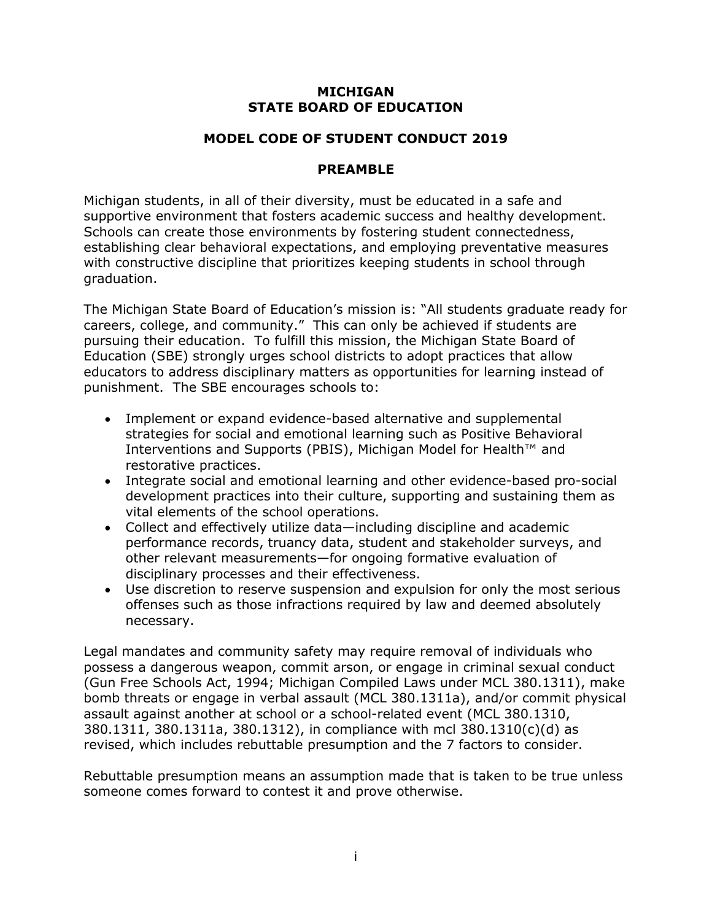## **MICHIGAN STATE BOARD OF EDUCATION**

### **MODEL CODE OF STUDENT CONDUCT 2019**

#### **PREAMBLE**

Michigan students, in all of their diversity, must be educated in a safe and supportive environment that fosters academic success and healthy development. Schools can create those environments by fostering student connectedness, establishing clear behavioral expectations, and employing preventative measures with constructive discipline that prioritizes keeping students in school through graduation.

The Michigan State Board of Education's mission is: "All students graduate ready for careers, college, and community." This can only be achieved if students are pursuing their education. To fulfill this mission, the Michigan State Board of Education (SBE) strongly urges school districts to adopt practices that allow educators to address disciplinary matters as opportunities for learning instead of punishment. The SBE encourages schools to:

- Implement or expand evidence-based alternative and supplemental strategies for social and emotional learning such as Positive Behavioral Interventions and Supports (PBIS), Michigan Model for Health™ and restorative practices.
- Integrate social and emotional learning and other evidence-based pro-social development practices into their culture, supporting and sustaining them as vital elements of the school operations.
- Collect and effectively utilize data—including discipline and academic performance records, truancy data, student and stakeholder surveys, and other relevant measurements—for ongoing formative evaluation of disciplinary processes and their effectiveness.
- Use discretion to reserve suspension and expulsion for only the most serious offenses such as those infractions required by law and deemed absolutely necessary.

Legal mandates and community safety may require removal of individuals who possess a dangerous weapon, commit arson, or engage in criminal sexual conduct (Gun Free Schools Act, 1994; Michigan Compiled Laws under MCL 380.1311), make bomb threats or engage in verbal assault (MCL 380.1311a), and/or commit physical assault against another at school or a school-related event (MCL 380.1310, 380.1311, 380.1311a, 380.1312), in compliance with mcl 380.1310(c)(d) as revised, which includes rebuttable presumption and the 7 factors to consider.

Rebuttable presumption means an assumption made that is taken to be true unless someone comes forward to contest it and prove otherwise.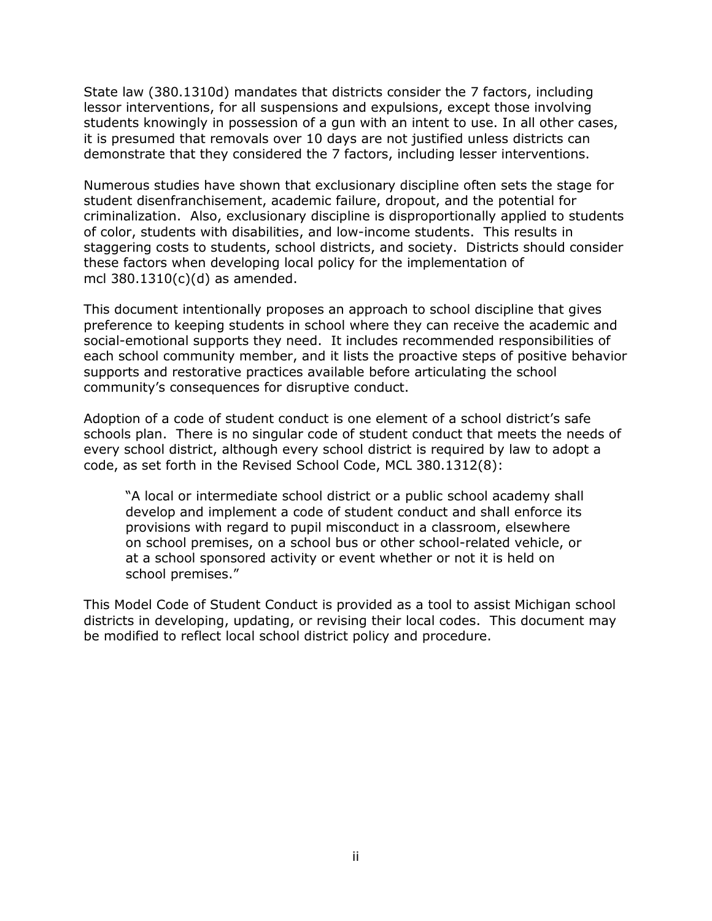State law (380.1310d) mandates that districts consider the 7 factors, including lessor interventions, for all suspensions and expulsions, except those involving students knowingly in possession of a gun with an intent to use. In all other cases, it is presumed that removals over 10 days are not justified unless districts can demonstrate that they considered the 7 factors, including lesser interventions.

Numerous studies have shown that exclusionary discipline often sets the stage for student disenfranchisement, academic failure, dropout, and the potential for criminalization. Also, exclusionary discipline is disproportionally applied to students of color, students with disabilities, and low-income students. This results in staggering costs to students, school districts, and society.Districts should consider these factors when developing local policy for the implementation of mcl  $380.1310(c)(d)$  as amended.

This document intentionally proposes an approach to school discipline that gives preference to keeping students in school where they can receive the academic and social-emotional supports they need. It includes recommended responsibilities of each school community member, and it lists the proactive steps of positive behavior supports and restorative practices available before articulating the school community's consequences for disruptive conduct.

Adoption of a code of student conduct is one element of a school district's safe schools plan. There is no singular code of student conduct that meets the needs of every school district, although every school district is required by law to adopt a code, as set forth in the Revised School Code, MCL 380.1312(8):

"A local or intermediate school district or a public school academy shall develop and implement a code of student conduct and shall enforce its provisions with regard to pupil misconduct in a classroom, elsewhere on school premises, on a school bus or other school-related vehicle, or at a school sponsored activity or event whether or not it is held on school premises."

This Model Code of Student Conduct is provided as a tool to assist Michigan school districts in developing, updating, or revising their local codes. This document may be modified to reflect local school district policy and procedure.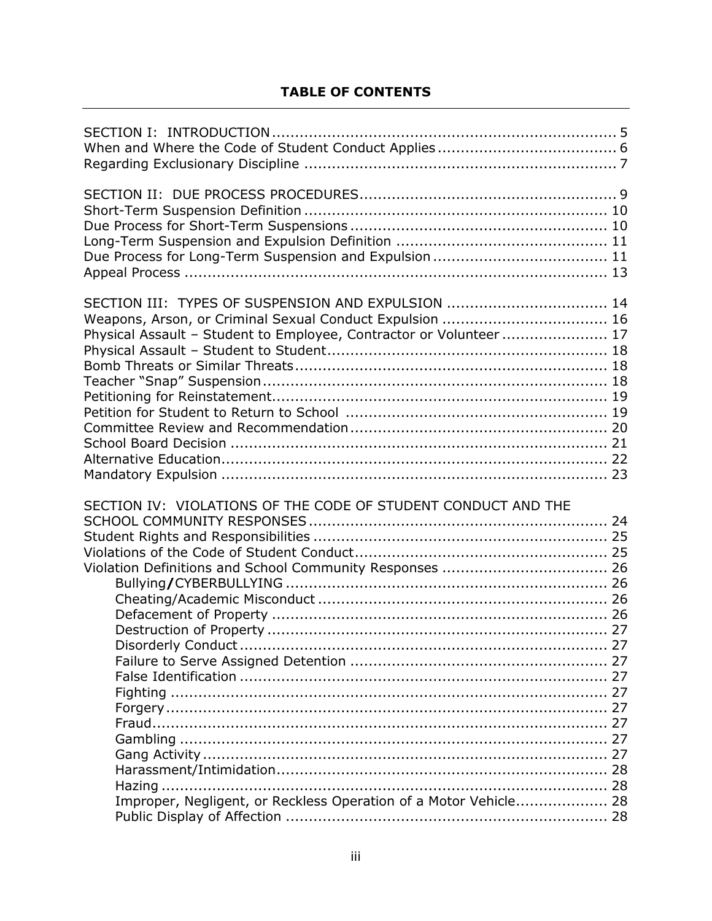# **TABLE OF CONTENTS**

| SECTION III: TYPES OF SUSPENSION AND EXPULSION  14<br>Weapons, Arson, or Criminal Sexual Conduct Expulsion  16<br>Physical Assault - Student to Employee, Contractor or Volunteer 17 |
|--------------------------------------------------------------------------------------------------------------------------------------------------------------------------------------|
| SECTION IV: VIOLATIONS OF THE CODE OF STUDENT CONDUCT AND THE<br>Improper, Negligent, or Reckless Operation of a Motor Vehicle 28                                                    |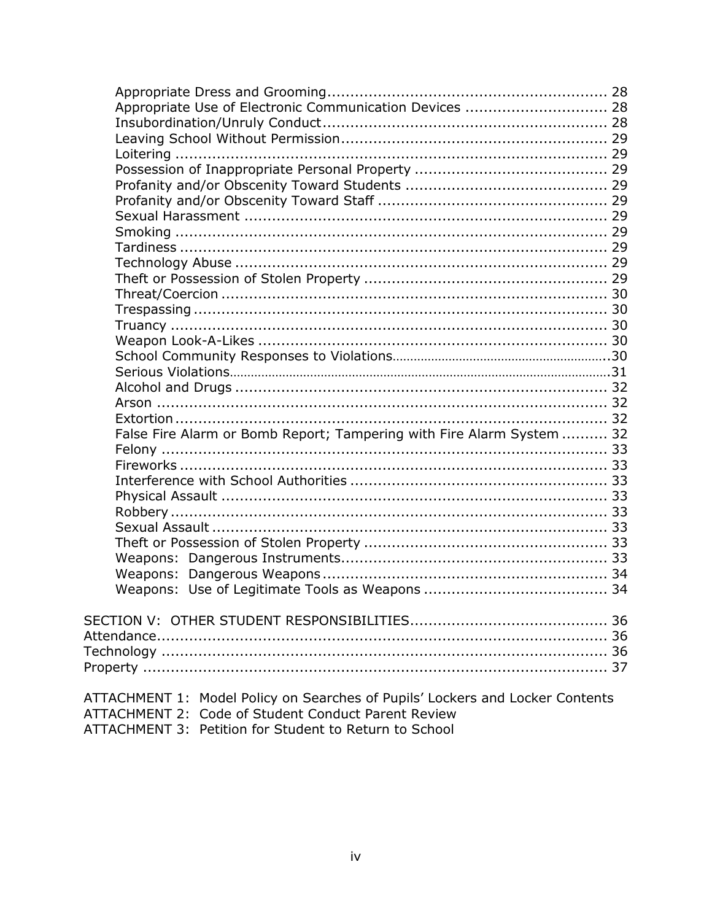| Appropriate Use of Electronic Communication Devices  28                       |  |
|-------------------------------------------------------------------------------|--|
|                                                                               |  |
|                                                                               |  |
|                                                                               |  |
|                                                                               |  |
|                                                                               |  |
|                                                                               |  |
|                                                                               |  |
|                                                                               |  |
|                                                                               |  |
|                                                                               |  |
|                                                                               |  |
|                                                                               |  |
|                                                                               |  |
|                                                                               |  |
|                                                                               |  |
|                                                                               |  |
|                                                                               |  |
|                                                                               |  |
|                                                                               |  |
|                                                                               |  |
| False Fire Alarm or Bomb Report; Tampering with Fire Alarm System  32         |  |
|                                                                               |  |
|                                                                               |  |
|                                                                               |  |
|                                                                               |  |
|                                                                               |  |
|                                                                               |  |
|                                                                               |  |
|                                                                               |  |
|                                                                               |  |
|                                                                               |  |
|                                                                               |  |
|                                                                               |  |
|                                                                               |  |
|                                                                               |  |
|                                                                               |  |
|                                                                               |  |
| ATTACHMENT 1: Model Policy on Searches of Pupils' Lockers and Locker Contents |  |
| ATTACHMENT 2: Code of Student Conduct Parent Review                           |  |
| ATTACHMENT 2. Detition for Ctudent to Deturn to Cohool                        |  |

ATTACHMENT 3: Petition for Student to Return to School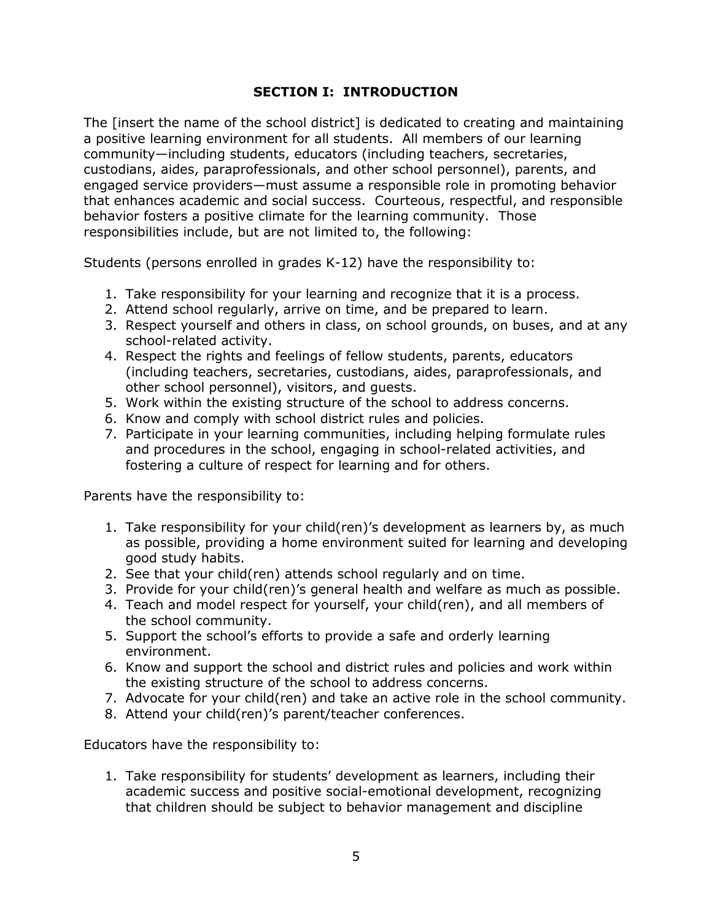## **SECTION I: INTRODUCTION**

The [insert the name of the school district] is dedicated to creating and maintaining a positive learning environment for all students. All members of our learning community—including students, educators (including teachers, secretaries, custodians, aides, paraprofessionals, and other school personnel), parents, and engaged service providers—must assume a responsible role in promoting behavior that enhances academic and social success. Courteous, respectful, and responsible behavior fosters a positive climate for the learning community. Those responsibilities include, but are not limited to, the following:

Students (persons enrolled in grades K-12) have the responsibility to:

- 1. Take responsibility for your learning and recognize that it is a process.
- 2. Attend school regularly, arrive on time, and be prepared to learn.
- 3. Respect yourself and others in class, on school grounds, on buses, and at any school-related activity.
- 4. Respect the rights and feelings of fellow students, parents, educators (including teachers, secretaries, custodians, aides, paraprofessionals, and other school personnel), visitors, and guests.
- 5. Work within the existing structure of the school to address concerns.
- 6. Know and comply with school district rules and policies.
- 7. Participate in your learning communities, including helping formulate rules and procedures in the school, engaging in school-related activities, and fostering a culture of respect for learning and for others.

Parents have the responsibility to:

- 1. Take responsibility for your child(ren)'s development as learners by, as much as possible, providing a home environment suited for learning and developing good study habits.
- 2. See that your child(ren) attends school regularly and on time.
- 3. Provide for your child(ren)'s general health and welfare as much as possible.
- 4. Teach and model respect for yourself, your child(ren), and all members of the school community.
- 5. Support the school's efforts to provide a safe and orderly learning environment.
- 6. Know and support the school and district rules and policies and work within the existing structure of the school to address concerns.
- 7. Advocate for your child(ren) and take an active role in the school community.
- 8. Attend your child(ren)'s parent/teacher conferences.

Educators have the responsibility to:

1. Take responsibility for students' development as learners, including their academic success and positive social-emotional development, recognizing that children should be subject to behavior management and discipline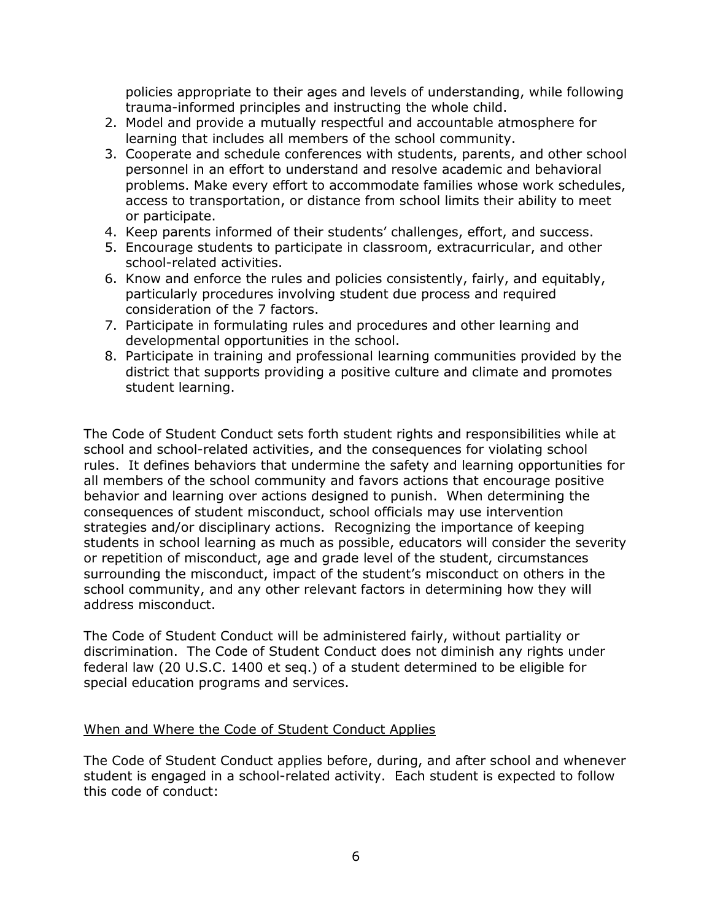policies appropriate to their ages and levels of understanding, while following trauma-informed principles and instructing the whole child.

- 2. Model and provide a mutually respectful and accountable atmosphere for learning that includes all members of the school community.
- 3. Cooperate and schedule conferences with students, parents, and other school personnel in an effort to understand and resolve academic and behavioral problems. Make every effort to accommodate families whose work schedules, access to transportation, or distance from school limits their ability to meet or participate.
- 4. Keep parents informed of their students' challenges, effort, and success.
- 5. Encourage students to participate in classroom, extracurricular, and other school-related activities.
- 6. Know and enforce the rules and policies consistently, fairly, and equitably, particularly procedures involving student due process and required consideration of the 7 factors.
- 7. Participate in formulating rules and procedures and other learning and developmental opportunities in the school.
- 8. Participate in training and professional learning communities provided by the district that supports providing a positive culture and climate and promotes student learning.

The Code of Student Conduct sets forth student rights and responsibilities while at school and school-related activities, and the consequences for violating school rules. It defines behaviors that undermine the safety and learning opportunities for all members of the school community and favors actions that encourage positive behavior and learning over actions designed to punish. When determining the consequences of student misconduct, school officials may use intervention strategies and/or disciplinary actions. Recognizing the importance of keeping students in school learning as much as possible, educators will consider the severity or repetition of misconduct, age and grade level of the student, circumstances surrounding the misconduct, impact of the student's misconduct on others in the school community, and any other relevant factors in determining how they will address misconduct.

The Code of Student Conduct will be administered fairly, without partiality or discrimination. The Code of Student Conduct does not diminish any rights under federal law (20 U.S.C. 1400 et seq.) of a student determined to be eligible for special education programs and services.

#### When and Where the Code of Student Conduct Applies

The Code of Student Conduct applies before, during, and after school and whenever student is engaged in a school-related activity. Each student is expected to follow this code of conduct: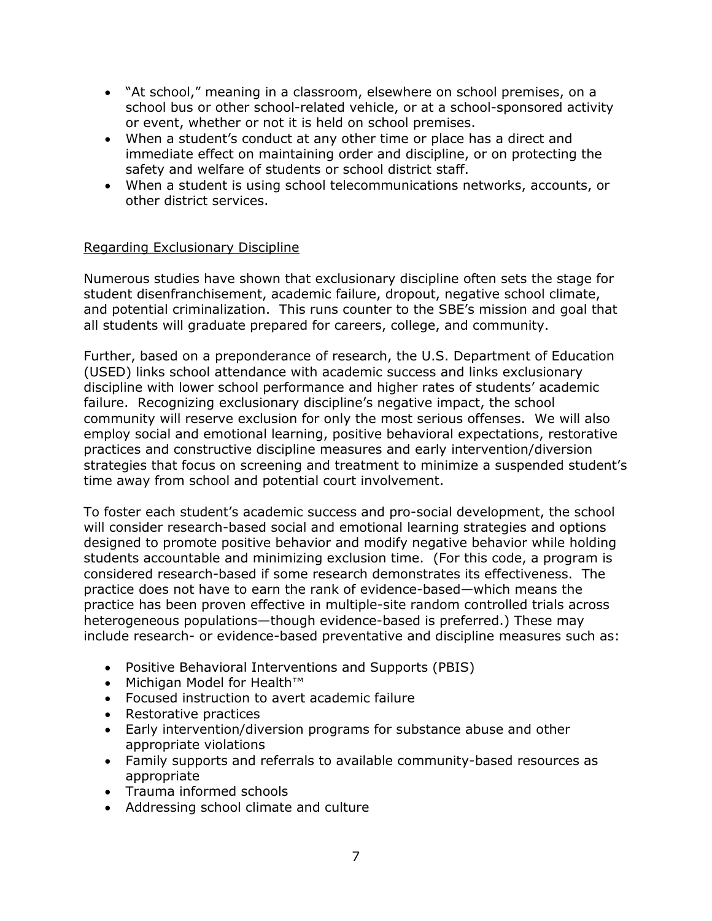- "At school," meaning in a classroom, elsewhere on school premises, on a school bus or other school-related vehicle, or at a school-sponsored activity or event, whether or not it is held on school premises.
- When a student's conduct at any other time or place has a direct and immediate effect on maintaining order and discipline, or on protecting the safety and welfare of students or school district staff.
- When a student is using school telecommunications networks, accounts, or other district services.

## Regarding Exclusionary Discipline

Numerous studies have shown that exclusionary discipline often sets the stage for student disenfranchisement, academic failure, dropout, negative school climate, and potential criminalization. This runs counter to the SBE's mission and goal that all students will graduate prepared for careers, college, and community.

Further, based on a preponderance of research, the U.S. Department of Education (USED) links school attendance with academic success and links exclusionary discipline with lower school performance and higher rates of students' academic failure. Recognizing exclusionary discipline's negative impact, the school community will reserve exclusion for only the most serious offenses. We will also employ social and emotional learning, positive behavioral expectations, restorative practices and constructive discipline measures and early intervention/diversion strategies that focus on screening and treatment to minimize a suspended student's time away from school and potential court involvement.

To foster each student's academic success and pro-social development, the school will consider research-based social and emotional learning strategies and options designed to promote positive behavior and modify negative behavior while holding students accountable and minimizing exclusion time. (For this code, a program is considered research-based if some research demonstrates its effectiveness. The practice does not have to earn the rank of evidence-based—which means the practice has been proven effective in multiple-site random controlled trials across heterogeneous populations—though evidence-based is preferred.) These may include research- or evidence-based preventative and discipline measures such as:

- Positive Behavioral Interventions and Supports (PBIS)
- Michigan Model for Health™
- Focused instruction to avert academic failure
- Restorative practices
- Early intervention/diversion programs for substance abuse and other appropriate violations
- Family supports and referrals to available community-based resources as appropriate
- Trauma informed schools
- Addressing school climate and culture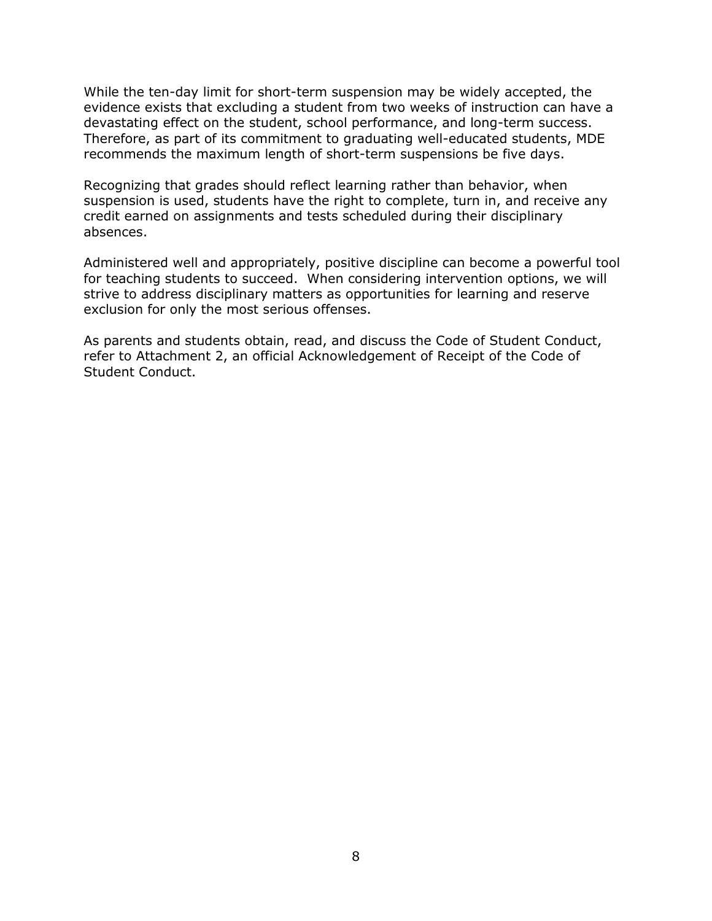While the ten-day limit for short-term suspension may be widely accepted, the evidence exists that excluding a student from two weeks of instruction can have a devastating effect on the student, school performance, and long-term success. Therefore, as part of its commitment to graduating well-educated students, MDE recommends the maximum length of short-term suspensions be five days.

Recognizing that grades should reflect learning rather than behavior, when suspension is used, students have the right to complete, turn in, and receive any credit earned on assignments and tests scheduled during their disciplinary absences.

Administered well and appropriately, positive discipline can become a powerful tool for teaching students to succeed. When considering intervention options, we will strive to address disciplinary matters as opportunities for learning and reserve exclusion for only the most serious offenses.

As parents and students obtain, read, and discuss the Code of Student Conduct, refer to Attachment 2, an official Acknowledgement of Receipt of the Code of Student Conduct.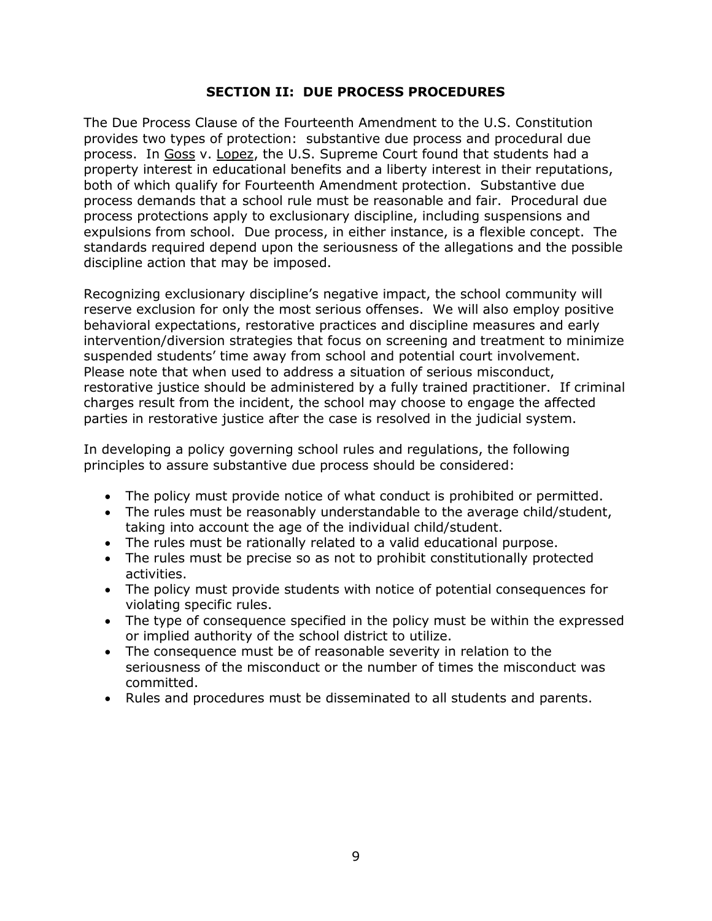#### **SECTION II: DUE PROCESS PROCEDURES**

The Due Process Clause of the Fourteenth Amendment to the U.S. Constitution provides two types of protection: substantive due process and procedural due process. In Goss v. Lopez, the U.S. Supreme Court found that students had a property interest in educational benefits and a liberty interest in their reputations, both of which qualify for Fourteenth Amendment protection. Substantive due process demands that a school rule must be reasonable and fair. Procedural due process protections apply to exclusionary discipline, including suspensions and expulsions from school. Due process, in either instance, is a flexible concept. The standards required depend upon the seriousness of the allegations and the possible discipline action that may be imposed.

Recognizing exclusionary discipline's negative impact, the school community will reserve exclusion for only the most serious offenses. We will also employ positive behavioral expectations, restorative practices and discipline measures and early intervention/diversion strategies that focus on screening and treatment to minimize suspended students' time away from school and potential court involvement. Please note that when used to address a situation of serious misconduct, restorative justice should be administered by a fully trained practitioner. If criminal charges result from the incident, the school may choose to engage the affected parties in restorative justice after the case is resolved in the judicial system.

In developing a policy governing school rules and regulations, the following principles to assure substantive due process should be considered:

- The policy must provide notice of what conduct is prohibited or permitted.
- The rules must be reasonably understandable to the average child/student, taking into account the age of the individual child/student.
- The rules must be rationally related to a valid educational purpose.
- The rules must be precise so as not to prohibit constitutionally protected activities.
- The policy must provide students with notice of potential consequences for violating specific rules.
- The type of consequence specified in the policy must be within the expressed or implied authority of the school district to utilize.
- The consequence must be of reasonable severity in relation to the seriousness of the misconduct or the number of times the misconduct was committed.
- Rules and procedures must be disseminated to all students and parents.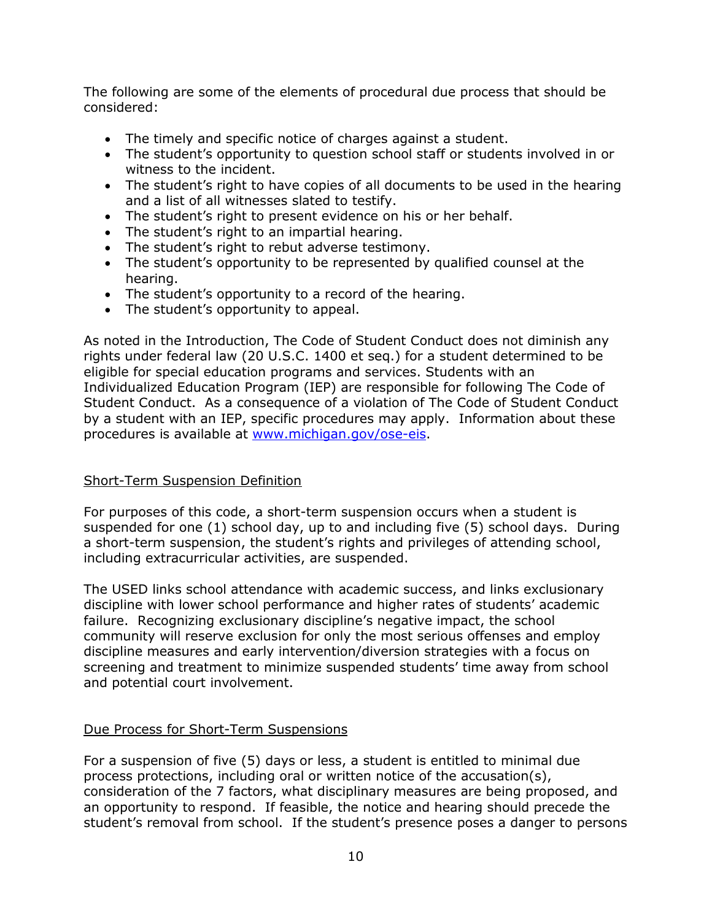The following are some of the elements of procedural due process that should be considered:

- The timely and specific notice of charges against a student.
- The student's opportunity to question school staff or students involved in or witness to the incident.
- The student's right to have copies of all documents to be used in the hearing and a list of all witnesses slated to testify.
- The student's right to present evidence on his or her behalf.
- The student's right to an impartial hearing.
- The student's right to rebut adverse testimony.
- The student's opportunity to be represented by qualified counsel at the hearing.
- The student's opportunity to a record of the hearing.
- The student's opportunity to appeal.

As noted in the Introduction, The Code of Student Conduct does not diminish any rights under federal law (20 U.S.C. 1400 et seq.) for a student determined to be eligible for special education programs and services. Students with an Individualized Education Program (IEP) are responsible for following The Code of Student Conduct. As a consequence of a violation of The Code of Student Conduct by a student with an IEP, specific procedures may apply. Information about these procedures is available at [www.michigan.gov/ose-eis.](http://www.michigan.gov/ose-eis)

## Short-Term Suspension Definition

For purposes of this code, a short-term suspension occurs when a student is suspended for one (1) school day, up to and including five (5) school days. During a short-term suspension, the student's rights and privileges of attending school, including extracurricular activities, are suspended.

The USED links school attendance with academic success, and links exclusionary discipline with lower school performance and higher rates of students' academic failure. Recognizing exclusionary discipline's negative impact, the school community will reserve exclusion for only the most serious offenses and employ discipline measures and early intervention/diversion strategies with a focus on screening and treatment to minimize suspended students' time away from school and potential court involvement.

## Due Process for Short-Term Suspensions

For a suspension of five (5) days or less, a student is entitled to minimal due process protections, including oral or written notice of the accusation(s), consideration of the 7 factors, what disciplinary measures are being proposed, and an opportunity to respond. If feasible, the notice and hearing should precede the student's removal from school. If the student's presence poses a danger to persons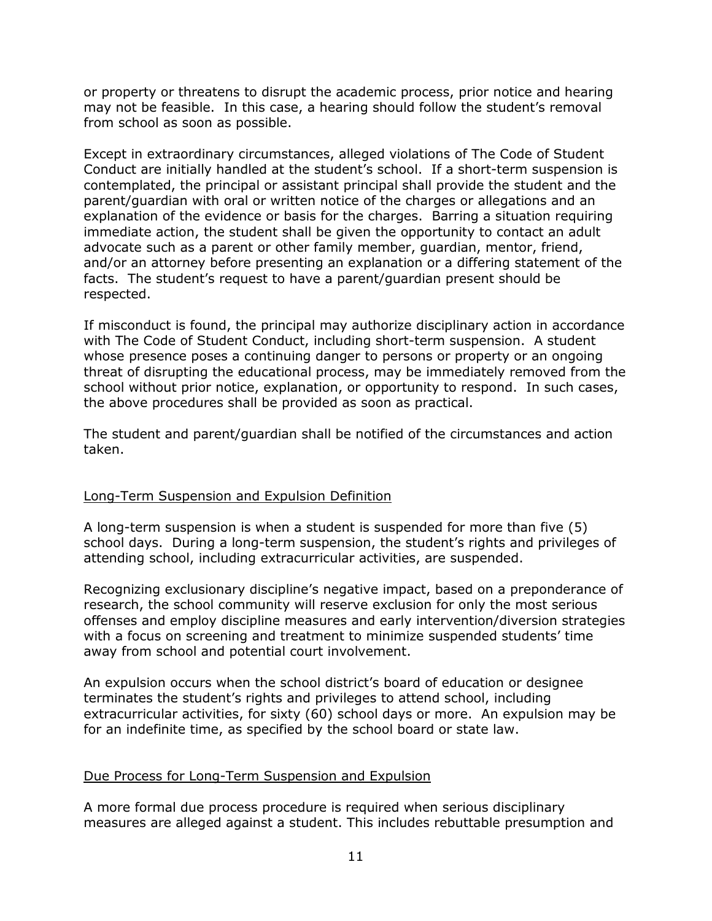or property or threatens to disrupt the academic process, prior notice and hearing may not be feasible. In this case, a hearing should follow the student's removal from school as soon as possible.

Except in extraordinary circumstances, alleged violations of The Code of Student Conduct are initially handled at the student's school. If a short-term suspension is contemplated, the principal or assistant principal shall provide the student and the parent/guardian with oral or written notice of the charges or allegations and an explanation of the evidence or basis for the charges. Barring a situation requiring immediate action, the student shall be given the opportunity to contact an adult advocate such as a parent or other family member, guardian, mentor, friend, and/or an attorney before presenting an explanation or a differing statement of the facts. The student's request to have a parent/guardian present should be respected.

If misconduct is found, the principal may authorize disciplinary action in accordance with The Code of Student Conduct, including short-term suspension. A student whose presence poses a continuing danger to persons or property or an ongoing threat of disrupting the educational process, may be immediately removed from the school without prior notice, explanation, or opportunity to respond. In such cases, the above procedures shall be provided as soon as practical.

The student and parent/guardian shall be notified of the circumstances and action taken.

## Long-Term Suspension and Expulsion Definition

A long-term suspension is when a student is suspended for more than five (5) school days. During a long-term suspension, the student's rights and privileges of attending school, including extracurricular activities, are suspended.

Recognizing exclusionary discipline's negative impact, based on a preponderance of research, the school community will reserve exclusion for only the most serious offenses and employ discipline measures and early intervention/diversion strategies with a focus on screening and treatment to minimize suspended students' time away from school and potential court involvement.

An expulsion occurs when the school district's board of education or designee terminates the student's rights and privileges to attend school, including extracurricular activities, for sixty (60) school days or more. An expulsion may be for an indefinite time, as specified by the school board or state law.

## Due Process for Long-Term Suspension and Expulsion

A more formal due process procedure is required when serious disciplinary measures are alleged against a student. This includes rebuttable presumption and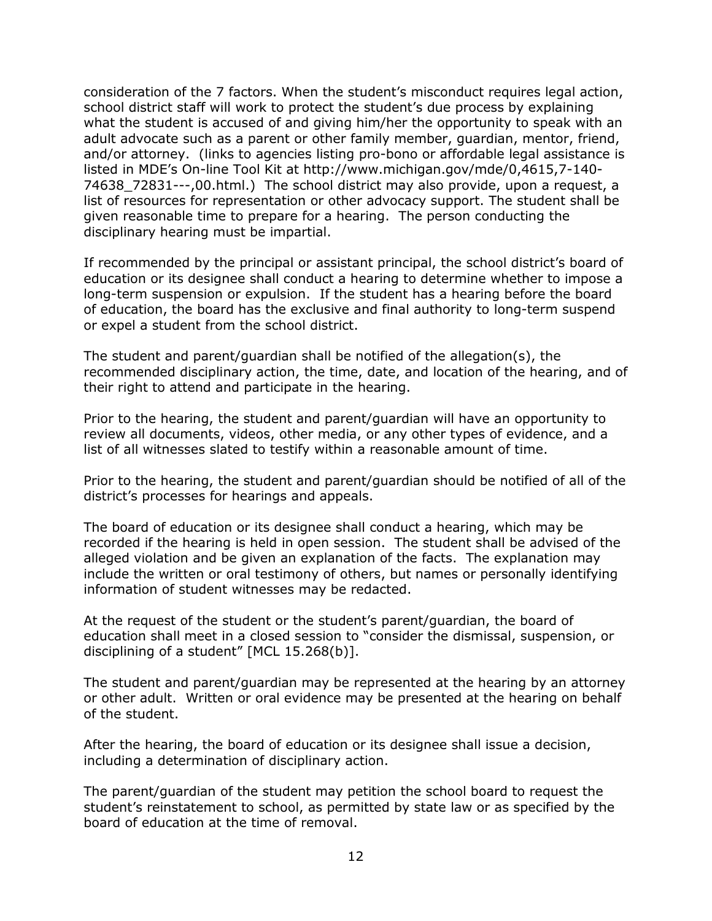consideration of the 7 factors. When the student's misconduct requires legal action, school district staff will work to protect the student's due process by explaining what the student is accused of and giving him/her the opportunity to speak with an adult advocate such as a parent or other family member, guardian, mentor, friend, and/or attorney. (links to agencies listing pro-bono or affordable legal assistance is listed in MDE's On-line Tool Kit at http://www.michigan.gov/mde/0,4615,7-140- 74638\_72831---,00.html.) The school district may also provide, upon a request, a list of resources for representation or other advocacy support. The student shall be given reasonable time to prepare for a hearing. The person conducting the disciplinary hearing must be impartial.

If recommended by the principal or assistant principal, the school district's board of education or its designee shall conduct a hearing to determine whether to impose a long-term suspension or expulsion. If the student has a hearing before the board of education, the board has the exclusive and final authority to long-term suspend or expel a student from the school district.

The student and parent/guardian shall be notified of the allegation(s), the recommended disciplinary action, the time, date, and location of the hearing, and of their right to attend and participate in the hearing.

Prior to the hearing, the student and parent/guardian will have an opportunity to review all documents, videos, other media, or any other types of evidence, and a list of all witnesses slated to testify within a reasonable amount of time.

Prior to the hearing, the student and parent/guardian should be notified of all of the district's processes for hearings and appeals.

The board of education or its designee shall conduct a hearing, which may be recorded if the hearing is held in open session. The student shall be advised of the alleged violation and be given an explanation of the facts. The explanation may include the written or oral testimony of others, but names or personally identifying information of student witnesses may be redacted.

At the request of the student or the student's parent/guardian, the board of education shall meet in a closed session to "consider the dismissal, suspension, or disciplining of a student" [MCL 15.268(b)].

The student and parent/guardian may be represented at the hearing by an attorney or other adult. Written or oral evidence may be presented at the hearing on behalf of the student.

After the hearing, the board of education or its designee shall issue a decision, including a determination of disciplinary action.

The parent/guardian of the student may petition the school board to request the student's reinstatement to school, as permitted by state law or as specified by the board of education at the time of removal.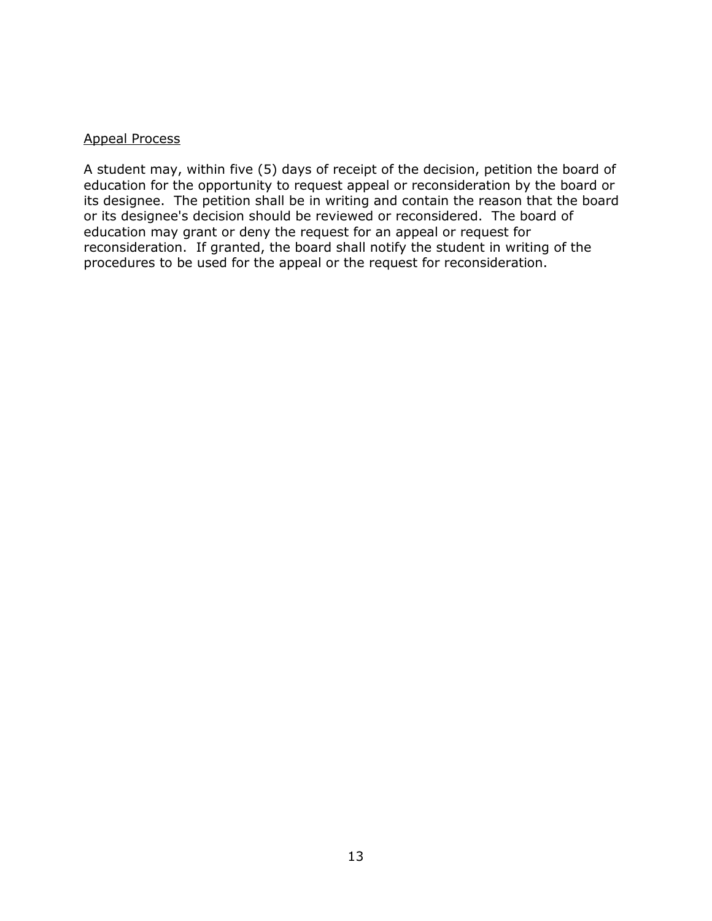#### Appeal Process

A student may, within five (5) days of receipt of the decision, petition the board of education for the opportunity to request appeal or reconsideration by the board or its designee. The petition shall be in writing and contain the reason that the board or its designee's decision should be reviewed or reconsidered. The board of education may grant or deny the request for an appeal or request for reconsideration. If granted, the board shall notify the student in writing of the procedures to be used for the appeal or the request for reconsideration.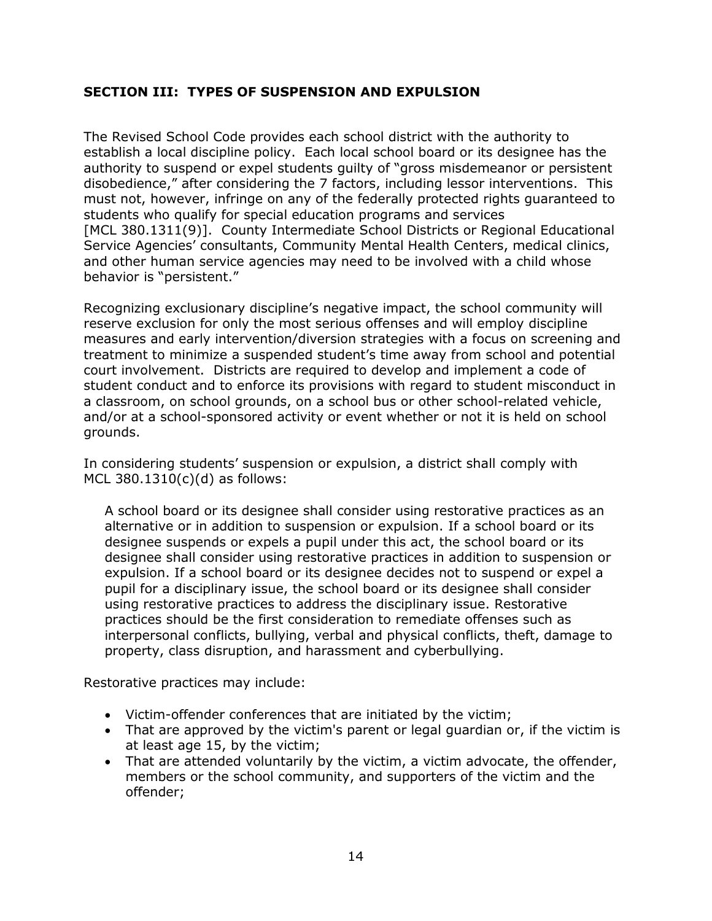## **SECTION III: TYPES OF SUSPENSION AND EXPULSION**

The Revised School Code provides each school district with the authority to establish a local discipline policy. Each local school board or its designee has the authority to suspend or expel students guilty of "gross misdemeanor or persistent disobedience," after considering the 7 factors, including lessor interventions. This must not, however, infringe on any of the federally protected rights guaranteed to students who qualify for special education programs and services [MCL 380.1311(9)]. County Intermediate School Districts or Regional Educational Service Agencies' consultants, Community Mental Health Centers, medical clinics, and other human service agencies may need to be involved with a child whose behavior is "persistent."

Recognizing exclusionary discipline's negative impact, the school community will reserve exclusion for only the most serious offenses and will employ discipline measures and early intervention/diversion strategies with a focus on screening and treatment to minimize a suspended student's time away from school and potential court involvement. Districts are required to develop and implement a code of student conduct and to enforce its provisions with regard to student misconduct in a classroom, on school grounds, on a school bus or other school-related vehicle, and/or at a school-sponsored activity or event whether or not it is held on school grounds.

In considering students' suspension or expulsion, a district shall comply with MCL 380.1310(c)(d) as follows:

A school board or its designee shall consider using restorative practices as an alternative or in addition to suspension or expulsion. If a school board or its designee suspends or expels a pupil under this act, the school board or its designee shall consider using restorative practices in addition to suspension or expulsion. If a school board or its designee decides not to suspend or expel a pupil for a disciplinary issue, the school board or its designee shall consider using restorative practices to address the disciplinary issue. Restorative practices should be the first consideration to remediate offenses such as interpersonal conflicts, bullying, verbal and physical conflicts, theft, damage to property, class disruption, and harassment and cyberbullying.

Restorative practices may include:

- Victim-offender conferences that are initiated by the victim;
- That are approved by the victim's parent or legal guardian or, if the victim is at least age 15, by the victim;
- That are attended voluntarily by the victim, a victim advocate, the offender, members or the school community, and supporters of the victim and the offender;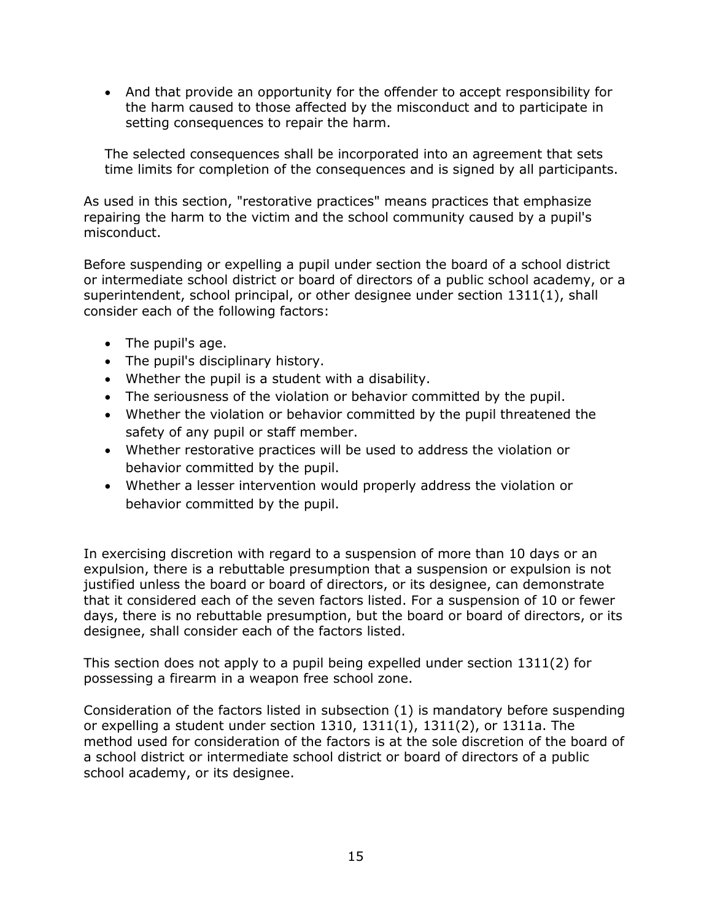• And that provide an opportunity for the offender to accept responsibility for the harm caused to those affected by the misconduct and to participate in setting consequences to repair the harm.

The selected consequences shall be incorporated into an agreement that sets time limits for completion of the consequences and is signed by all participants.

As used in this section, "restorative practices" means practices that emphasize repairing the harm to the victim and the school community caused by a pupil's misconduct.

Before suspending or expelling a pupil under section the board of a school district or intermediate school district or board of directors of a public school academy, or a superintendent, school principal, or other designee under section 1311(1), shall consider each of the following factors:

- The pupil's age.
- The pupil's disciplinary history.
- Whether the pupil is a student with a disability.
- The seriousness of the violation or behavior committed by the pupil.
- Whether the violation or behavior committed by the pupil threatened the safety of any pupil or staff member.
- Whether restorative practices will be used to address the violation or behavior committed by the pupil.
- Whether a lesser intervention would properly address the violation or behavior committed by the pupil.

In exercising discretion with regard to a suspension of more than 10 days or an expulsion, there is a rebuttable presumption that a suspension or expulsion is not justified unless the board or board of directors, or its designee, can demonstrate that it considered each of the seven factors listed. For a suspension of 10 or fewer days, there is no rebuttable presumption, but the board or board of directors, or its designee, shall consider each of the factors listed.

This section does not apply to a pupil being expelled under section 1311(2) for possessing a firearm in a weapon free school zone.

Consideration of the factors listed in subsection (1) is mandatory before suspending or expelling a student under section 1310, 1311(1), 1311(2), or 1311a. The method used for consideration of the factors is at the sole discretion of the board of a school district or intermediate school district or board of directors of a public school academy, or its designee.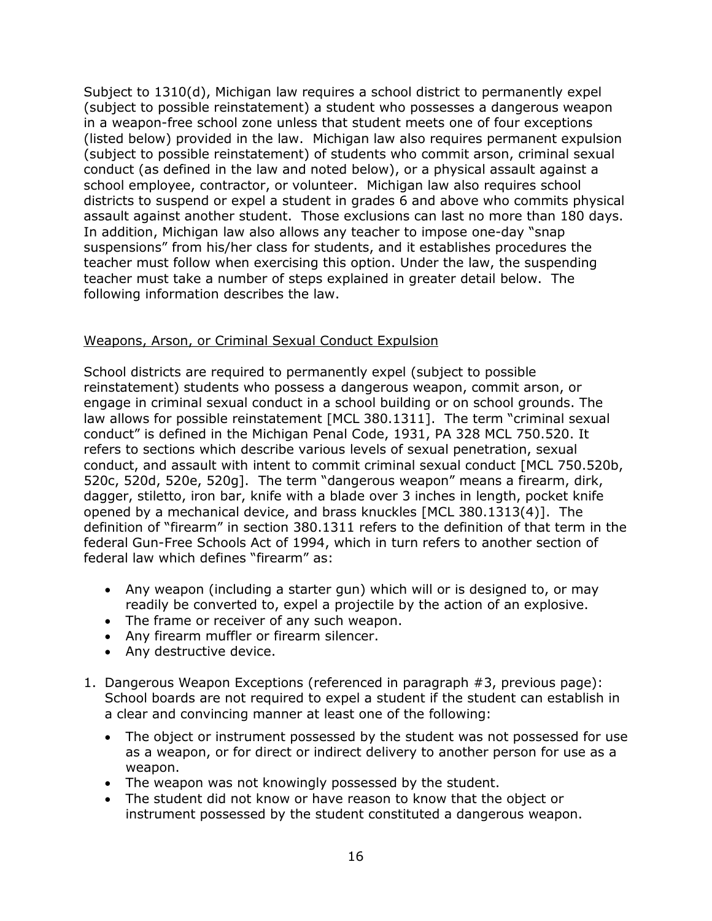Subject to 1310(d), Michigan law requires a school district to permanently expel (subject to possible reinstatement) a student who possesses a dangerous weapon in a weapon-free school zone unless that student meets one of four exceptions (listed below) provided in the law. Michigan law also requires permanent expulsion (subject to possible reinstatement) of students who commit arson, criminal sexual conduct (as defined in the law and noted below), or a physical assault against a school employee, contractor, or volunteer. Michigan law also requires school districts to suspend or expel a student in grades 6 and above who commits physical assault against another student. Those exclusions can last no more than 180 days. In addition, Michigan law also allows any teacher to impose one-day "snap suspensions" from his/her class for students, and it establishes procedures the teacher must follow when exercising this option. Under the law, the suspending teacher must take a number of steps explained in greater detail below. The following information describes the law.

## Weapons, Arson, or Criminal Sexual Conduct Expulsion

School districts are required to permanently expel (subject to possible reinstatement) students who possess a dangerous weapon, commit arson, or engage in criminal sexual conduct in a school building or on school grounds. The law allows for possible reinstatement [MCL 380.1311]. The term "criminal sexual conduct" is defined in the Michigan Penal Code, 1931, PA 328 MCL 750.520. It refers to sections which describe various levels of sexual penetration, sexual conduct, and assault with intent to commit criminal sexual conduct [MCL 750.520b, 520c, 520d, 520e, 520g]. The term "dangerous weapon" means a firearm, dirk, dagger, stiletto, iron bar, knife with a blade over 3 inches in length, pocket knife opened by a mechanical device, and brass knuckles [MCL 380.1313(4)]. The definition of "firearm" in section 380.1311 refers to the definition of that term in the federal Gun-Free Schools Act of 1994, which in turn refers to another section of federal law which defines "firearm" as:

- Any weapon (including a starter gun) which will or is designed to, or may readily be converted to, expel a projectile by the action of an explosive.
- The frame or receiver of any such weapon.
- Any firearm muffler or firearm silencer.
- Any destructive device.
- 1. Dangerous Weapon Exceptions (referenced in paragraph #3, previous page): School boards are not required to expel a student if the student can establish in a clear and convincing manner at least one of the following:
	- The object or instrument possessed by the student was not possessed for use as a weapon, or for direct or indirect delivery to another person for use as a weapon.
	- The weapon was not knowingly possessed by the student.
	- The student did not know or have reason to know that the object or instrument possessed by the student constituted a dangerous weapon.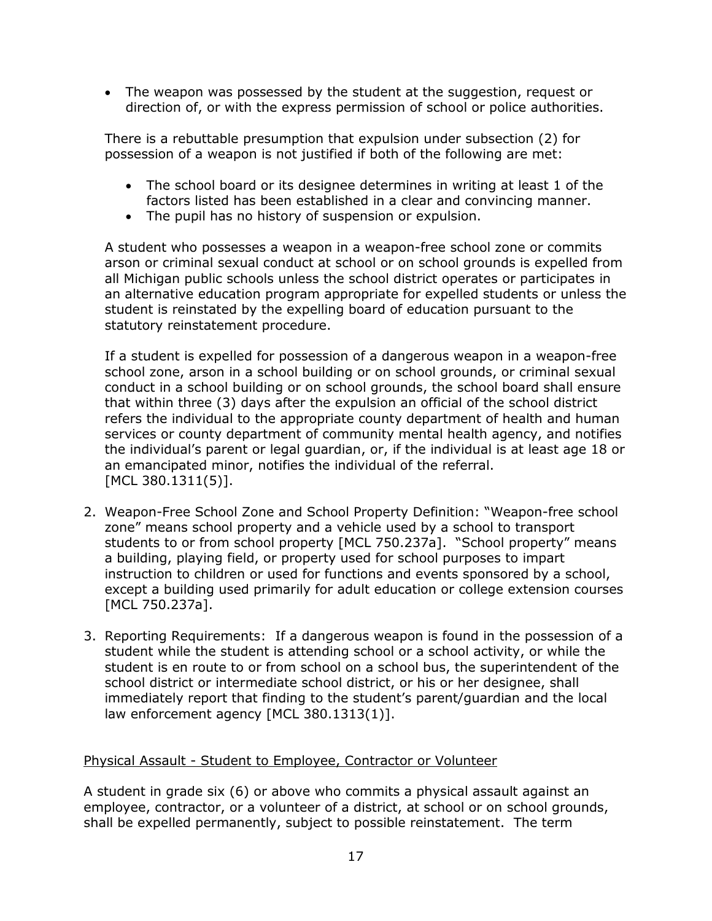• The weapon was possessed by the student at the suggestion, request or direction of, or with the express permission of school or police authorities.

There is a rebuttable presumption that expulsion under subsection (2) for possession of a weapon is not justified if both of the following are met:

- The school board or its designee determines in writing at least 1 of the factors listed has been established in a clear and convincing manner.
- The pupil has no history of suspension or expulsion.

A student who possesses a weapon in a weapon-free school zone or commits arson or criminal sexual conduct at school or on school grounds is expelled from all Michigan public schools unless the school district operates or participates in an alternative education program appropriate for expelled students or unless the student is reinstated by the expelling board of education pursuant to the statutory reinstatement procedure.

If a student is expelled for possession of a dangerous weapon in a weapon-free school zone, arson in a school building or on school grounds, or criminal sexual conduct in a school building or on school grounds, the school board shall ensure that within three (3) days after the expulsion an official of the school district refers the individual to the appropriate county department of health and human services or county department of community mental health agency, and notifies the individual's parent or legal guardian, or, if the individual is at least age 18 or an emancipated minor, notifies the individual of the referral. [MCL 380.1311(5)].

- 2. Weapon-Free School Zone and School Property Definition: "Weapon-free school zone" means school property and a vehicle used by a school to transport students to or from school property [MCL 750.237a]. "School property" means a building, playing field, or property used for school purposes to impart instruction to children or used for functions and events sponsored by a school, except a building used primarily for adult education or college extension courses [MCL 750.237a].
- 3. Reporting Requirements: If a dangerous weapon is found in the possession of a student while the student is attending school or a school activity, or while the student is en route to or from school on a school bus, the superintendent of the school district or intermediate school district, or his or her designee, shall immediately report that finding to the student's parent/guardian and the local law enforcement agency [MCL 380.1313(1)].

## Physical Assault - Student to Employee, Contractor or Volunteer

A student in grade six (6) or above who commits a physical assault against an employee, contractor, or a volunteer of a district, at school or on school grounds, shall be expelled permanently, subject to possible reinstatement. The term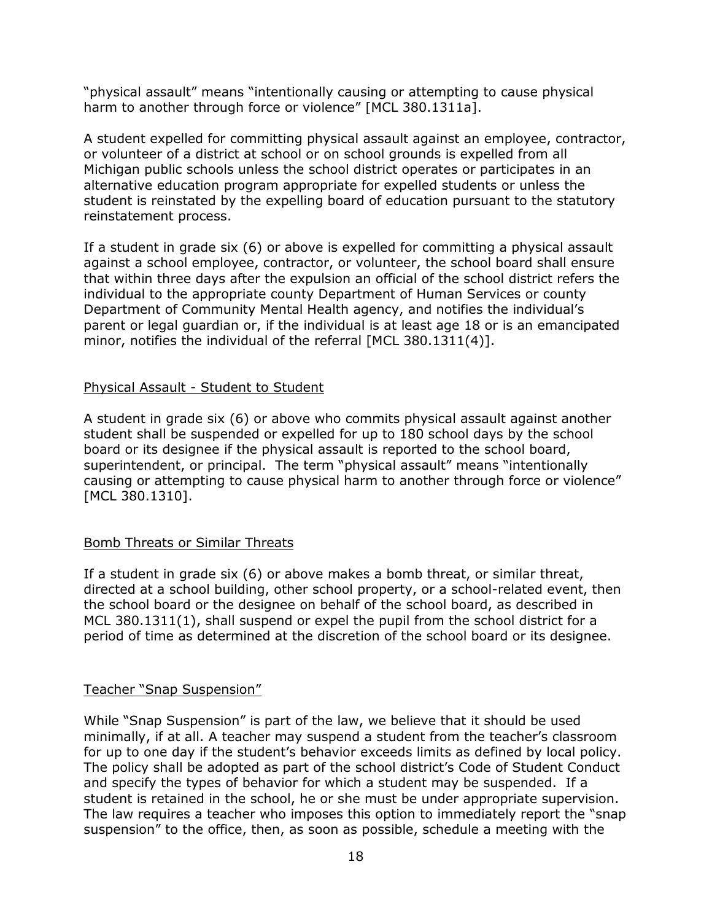"physical assault" means "intentionally causing or attempting to cause physical harm to another through force or violence" [MCL 380.1311a].

A student expelled for committing physical assault against an employee, contractor, or volunteer of a district at school or on school grounds is expelled from all Michigan public schools unless the school district operates or participates in an alternative education program appropriate for expelled students or unless the student is reinstated by the expelling board of education pursuant to the statutory reinstatement process.

If a student in grade six (6) or above is expelled for committing a physical assault against a school employee, contractor, or volunteer, the school board shall ensure that within three days after the expulsion an official of the school district refers the individual to the appropriate county Department of Human Services or county Department of Community Mental Health agency, and notifies the individual's parent or legal guardian or, if the individual is at least age 18 or is an emancipated minor, notifies the individual of the referral [MCL 380.1311(4)].

#### Physical Assault - Student to Student

A student in grade six (6) or above who commits physical assault against another student shall be suspended or expelled for up to 180 school days by the school board or its designee if the physical assault is reported to the school board, superintendent, or principal. The term "physical assault" means "intentionally causing or attempting to cause physical harm to another through force or violence" [MCL 380.1310].

## Bomb Threats or Similar Threats

If a student in grade six (6) or above makes a bomb threat, or similar threat, directed at a school building, other school property, or a school-related event, then the school board or the designee on behalf of the school board, as described in MCL 380.1311(1), shall suspend or expel the pupil from the school district for a period of time as determined at the discretion of the school board or its designee.

#### Teacher "Snap Suspension"

While "Snap Suspension" is part of the law, we believe that it should be used minimally, if at all. A teacher may suspend a student from the teacher's classroom for up to one day if the student's behavior exceeds limits as defined by local policy. The policy shall be adopted as part of the school district's Code of Student Conduct and specify the types of behavior for which a student may be suspended. If a student is retained in the school, he or she must be under appropriate supervision. The law requires a teacher who imposes this option to immediately report the "snap suspension" to the office, then, as soon as possible, schedule a meeting with the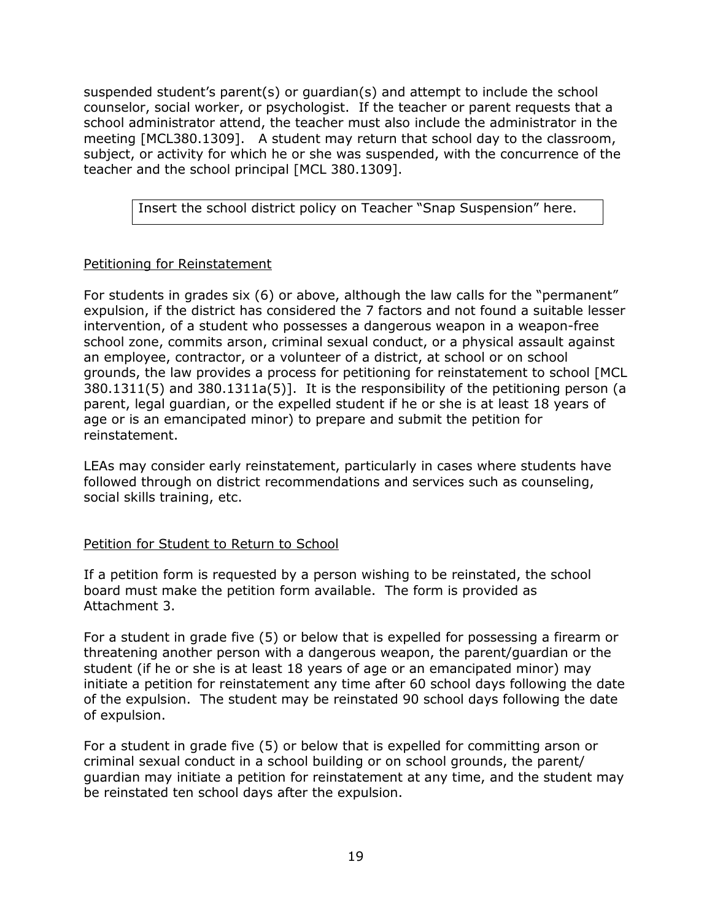suspended student's parent(s) or guardian(s) and attempt to include the school counselor, social worker, or psychologist. If the teacher or parent requests that a school administrator attend, the teacher must also include the administrator in the meeting [MCL380.1309]. A student may return that school day to the classroom, subject, or activity for which he or she was suspended, with the concurrence of the teacher and the school principal [MCL 380.1309].

Insert the school district policy on Teacher "Snap Suspension" here.

## Petitioning for Reinstatement

For students in grades six (6) or above, although the law calls for the "permanent" expulsion, if the district has considered the 7 factors and not found a suitable lesser intervention, of a student who possesses a dangerous weapon in a weapon-free school zone, commits arson, criminal sexual conduct, or a physical assault against an employee, contractor, or a volunteer of a district, at school or on school grounds, the law provides a process for petitioning for reinstatement to school [MCL 380.1311(5) and 380.1311a(5)]. It is the responsibility of the petitioning person (a parent, legal guardian, or the expelled student if he or she is at least 18 years of age or is an emancipated minor) to prepare and submit the petition for reinstatement.

LEAs may consider early reinstatement, particularly in cases where students have followed through on district recommendations and services such as counseling, social skills training, etc.

#### Petition for Student to Return to School

If a petition form is requested by a person wishing to be reinstated, the school board must make the petition form available. The form is provided as Attachment 3.

For a student in grade five (5) or below that is expelled for possessing a firearm or threatening another person with a dangerous weapon, the parent/guardian or the student (if he or she is at least 18 years of age or an emancipated minor) may initiate a petition for reinstatement any time after 60 school days following the date of the expulsion. The student may be reinstated 90 school days following the date of expulsion.

For a student in grade five (5) or below that is expelled for committing arson or criminal sexual conduct in a school building or on school grounds, the parent/ guardian may initiate a petition for reinstatement at any time, and the student may be reinstated ten school days after the expulsion.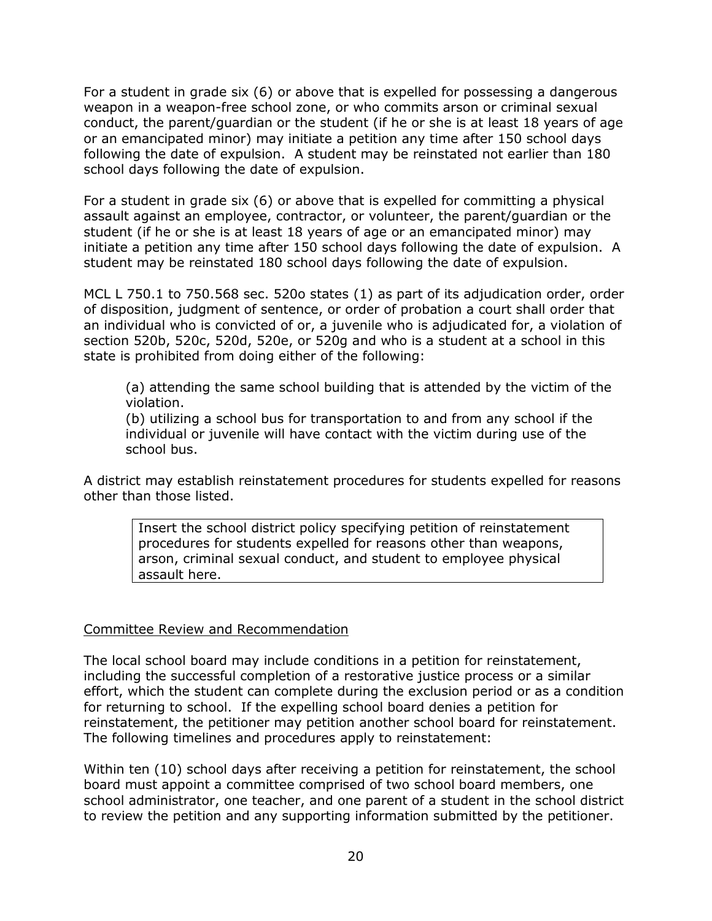For a student in grade six (6) or above that is expelled for possessing a dangerous weapon in a weapon-free school zone, or who commits arson or criminal sexual conduct, the parent/guardian or the student (if he or she is at least 18 years of age or an emancipated minor) may initiate a petition any time after 150 school days following the date of expulsion. A student may be reinstated not earlier than 180 school days following the date of expulsion.

For a student in grade six (6) or above that is expelled for committing a physical assault against an employee, contractor, or volunteer, the parent/guardian or the student (if he or she is at least 18 years of age or an emancipated minor) may initiate a petition any time after 150 school days following the date of expulsion. A student may be reinstated 180 school days following the date of expulsion.

MCL L 750.1 to 750.568 sec. 520o states (1) as part of its adjudication order, order of disposition, judgment of sentence, or order of probation a court shall order that an individual who is convicted of or, a juvenile who is adjudicated for, a violation of section 520b, 520c, 520d, 520e, or 520g and who is a student at a school in this state is prohibited from doing either of the following:

(a) attending the same school building that is attended by the victim of the violation.

(b) utilizing a school bus for transportation to and from any school if the individual or juvenile will have contact with the victim during use of the school bus.

A district may establish reinstatement procedures for students expelled for reasons other than those listed.

Insert the school district policy specifying petition of reinstatement procedures for students expelled for reasons other than weapons, arson, criminal sexual conduct, and student to employee physical assault here.

#### Committee Review and Recommendation

The local school board may include conditions in a petition for reinstatement, including the successful completion of a restorative justice process or a similar effort, which the student can complete during the exclusion period or as a condition for returning to school. If the expelling school board denies a petition for reinstatement, the petitioner may petition another school board for reinstatement. The following timelines and procedures apply to reinstatement:

Within ten (10) school days after receiving a petition for reinstatement, the school board must appoint a committee comprised of two school board members, one school administrator, one teacher, and one parent of a student in the school district to review the petition and any supporting information submitted by the petitioner.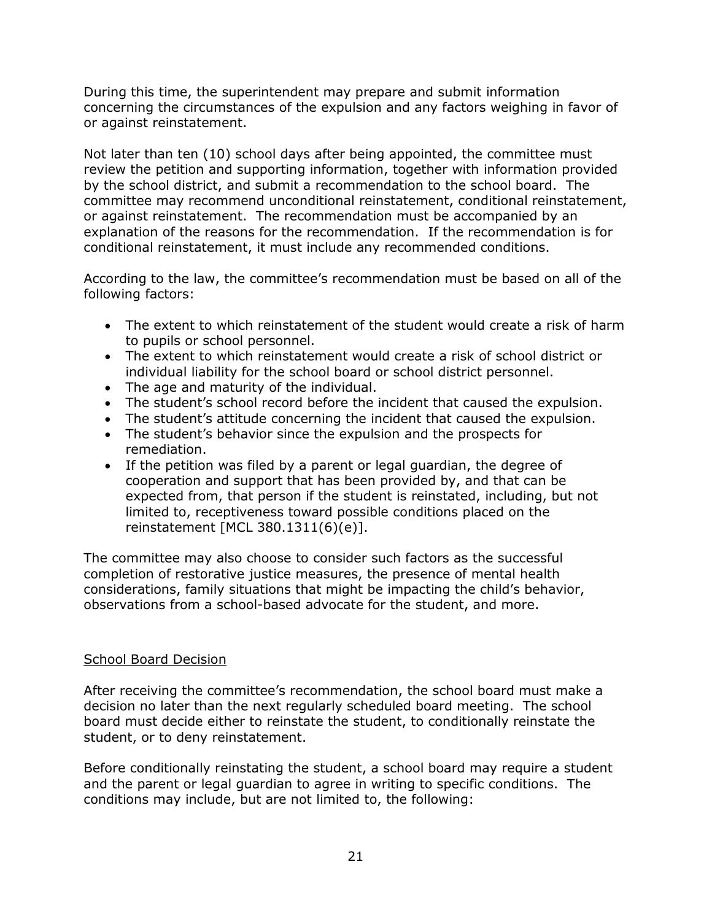During this time, the superintendent may prepare and submit information concerning the circumstances of the expulsion and any factors weighing in favor of or against reinstatement.

Not later than ten (10) school days after being appointed, the committee must review the petition and supporting information, together with information provided by the school district, and submit a recommendation to the school board. The committee may recommend unconditional reinstatement, conditional reinstatement, or against reinstatement. The recommendation must be accompanied by an explanation of the reasons for the recommendation. If the recommendation is for conditional reinstatement, it must include any recommended conditions.

According to the law, the committee's recommendation must be based on all of the following factors:

- The extent to which reinstatement of the student would create a risk of harm to pupils or school personnel.
- The extent to which reinstatement would create a risk of school district or individual liability for the school board or school district personnel.
- The age and maturity of the individual.
- The student's school record before the incident that caused the expulsion.
- The student's attitude concerning the incident that caused the expulsion.
- The student's behavior since the expulsion and the prospects for remediation.
- If the petition was filed by a parent or legal guardian, the degree of cooperation and support that has been provided by, and that can be expected from, that person if the student is reinstated, including, but not limited to, receptiveness toward possible conditions placed on the reinstatement [MCL 380.1311(6)(e)].

The committee may also choose to consider such factors as the successful completion of restorative justice measures, the presence of mental health considerations, family situations that might be impacting the child's behavior, observations from a school-based advocate for the student, and more.

#### School Board Decision

After receiving the committee's recommendation, the school board must make a decision no later than the next regularly scheduled board meeting. The school board must decide either to reinstate the student, to conditionally reinstate the student, or to deny reinstatement.

Before conditionally reinstating the student, a school board may require a student and the parent or legal guardian to agree in writing to specific conditions. The conditions may include, but are not limited to, the following: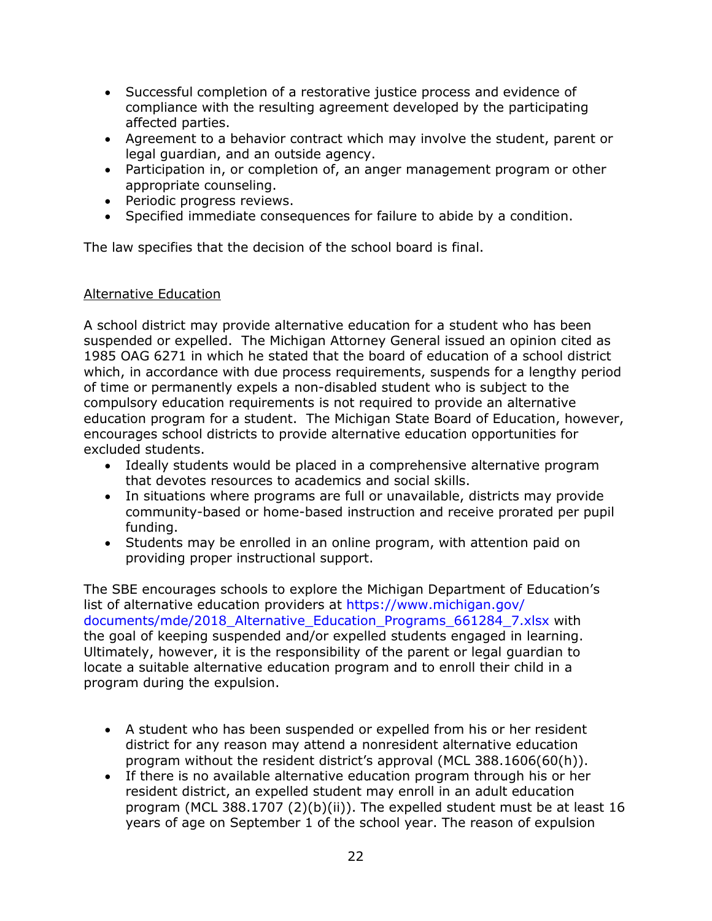- Successful completion of a restorative justice process and evidence of compliance with the resulting agreement developed by the participating affected parties.
- Agreement to a behavior contract which may involve the student, parent or legal guardian, and an outside agency.
- Participation in, or completion of, an anger management program or other appropriate counseling.
- Periodic progress reviews.
- Specified immediate consequences for failure to abide by a condition.

The law specifies that the decision of the school board is final.

## Alternative Education

A school district may provide alternative education for a student who has been suspended or expelled. The Michigan Attorney General issued an opinion cited as 1985 OAG 6271 in which he stated that the board of education of a school district which, in accordance with due process requirements, suspends for a lengthy period of time or permanently expels a non-disabled student who is subject to the compulsory education requirements is not required to provide an alternative education program for a student. The Michigan State Board of Education, however, encourages school districts to provide alternative education opportunities for excluded students.

- Ideally students would be placed in a comprehensive alternative program that devotes resources to academics and social skills.
- In situations where programs are full or unavailable, districts may provide community-based or home-based instruction and receive prorated per pupil funding.
- Students may be enrolled in an online program, with attention paid on providing proper instructional support.

The SBE encourages schools to explore the Michigan Department of Education's list of alternative education providers at https://www.michigan.gov/ documents/mde/2018\_Alternative\_Education\_Programs\_661284\_7.xlsx with the goal of keeping suspended and/or expelled students engaged in learning. Ultimately, however, it is the responsibility of the parent or legal guardian to locate a suitable alternative education program and to enroll their child in a program during the expulsion.

- A student who has been suspended or expelled from his or her resident district for any reason may attend a nonresident alternative education program without the resident district's approval (MCL 388.1606(60(h)).
- If there is no available alternative education program through his or her resident district, an expelled student may enroll in an adult education program (MCL 388.1707 (2)(b)(ii)). The expelled student must be at least 16 years of age on September 1 of the school year. The reason of expulsion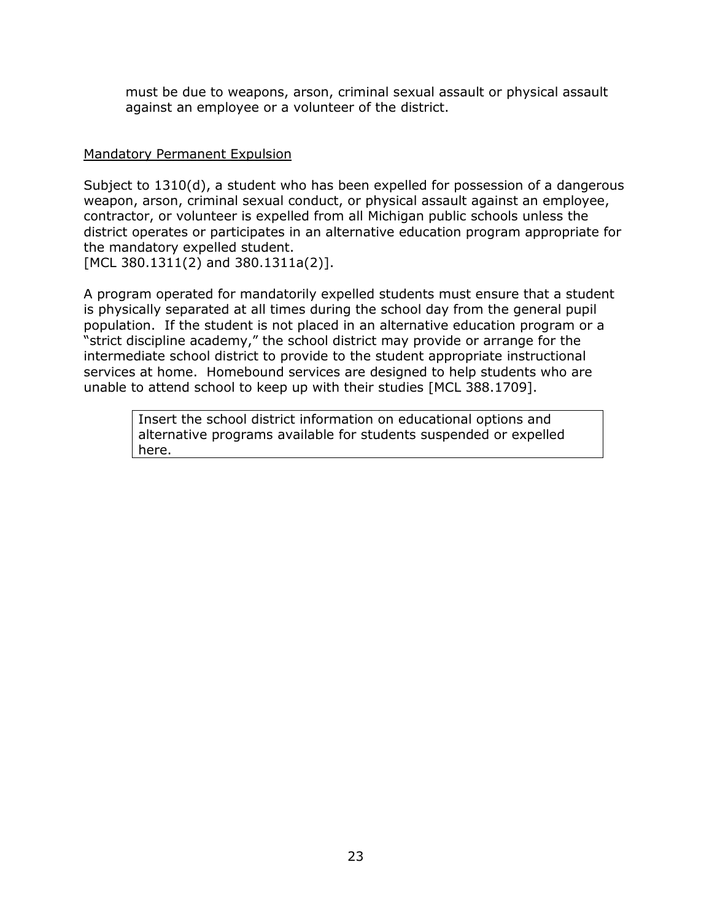must be due to weapons, arson, criminal sexual assault or physical assault against an employee or a volunteer of the district.

#### Mandatory Permanent Expulsion

Subject to 1310(d), a student who has been expelled for possession of a dangerous weapon, arson, criminal sexual conduct, or physical assault against an employee, contractor, or volunteer is expelled from all Michigan public schools unless the district operates or participates in an alternative education program appropriate for the mandatory expelled student.

[MCL 380.1311(2) and 380.1311a(2)].

A program operated for mandatorily expelled students must ensure that a student is physically separated at all times during the school day from the general pupil population. If the student is not placed in an alternative education program or a "strict discipline academy," the school district may provide or arrange for the intermediate school district to provide to the student appropriate instructional services at home. Homebound services are designed to help students who are unable to attend school to keep up with their studies [MCL 388.1709].

> Insert the school district information on educational options and alternative programs available for students suspended or expelled here.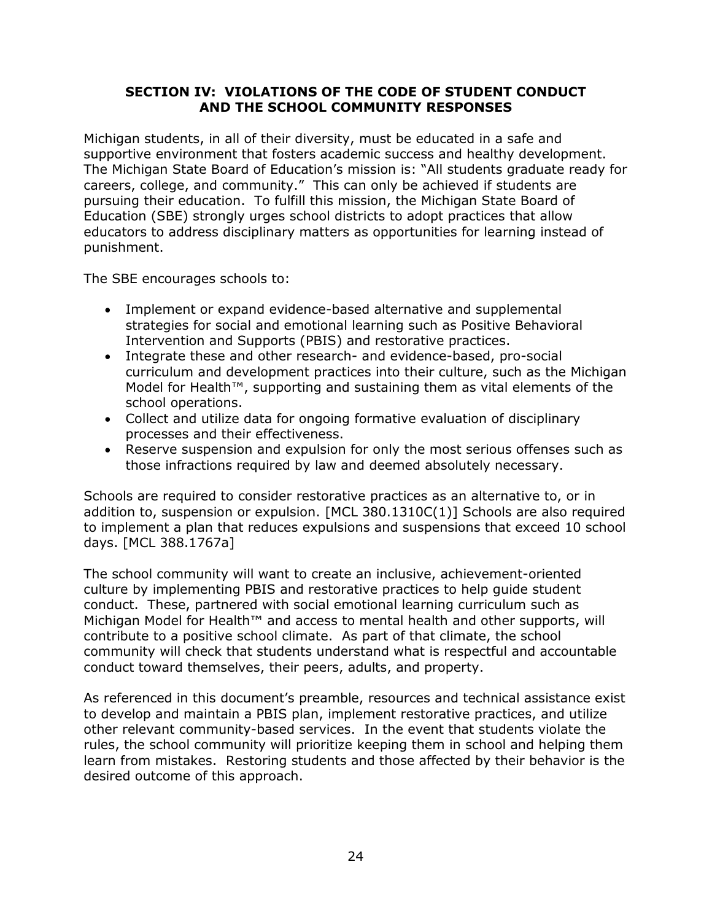## **SECTION IV: VIOLATIONS OF THE CODE OF STUDENT CONDUCT AND THE SCHOOL COMMUNITY RESPONSES**

Michigan students, in all of their diversity, must be educated in a safe and supportive environment that fosters academic success and healthy development. The Michigan State Board of Education's mission is: "All students graduate ready for careers, college, and community." This can only be achieved if students are pursuing their education. To fulfill this mission, the Michigan State Board of Education (SBE) strongly urges school districts to adopt practices that allow educators to address disciplinary matters as opportunities for learning instead of punishment.

The SBE encourages schools to:

- Implement or expand evidence-based alternative and supplemental strategies for social and emotional learning such as Positive Behavioral Intervention and Supports (PBIS) and restorative practices.
- Integrate these and other research- and evidence-based, pro-social curriculum and development practices into their culture, such as the Michigan Model for Health™, supporting and sustaining them as vital elements of the school operations.
- Collect and utilize data for ongoing formative evaluation of disciplinary processes and their effectiveness.
- Reserve suspension and expulsion for only the most serious offenses such as those infractions required by law and deemed absolutely necessary.

Schools are required to consider restorative practices as an alternative to, or in addition to, suspension or expulsion. [MCL 380.1310C(1)] Schools are also required to implement a plan that reduces expulsions and suspensions that exceed 10 school days. [MCL 388.1767a]

The school community will want to create an inclusive, achievement-oriented culture by implementing PBIS and restorative practices to help guide student conduct. These, partnered with social emotional learning curriculum such as Michigan Model for Health™ and access to mental health and other supports, will contribute to a positive school climate. As part of that climate, the school community will check that students understand what is respectful and accountable conduct toward themselves, their peers, adults, and property.

As referenced in this document's preamble, resources and technical assistance exist to develop and maintain a PBIS plan, implement restorative practices, and utilize other relevant community-based services. In the event that students violate the rules, the school community will prioritize keeping them in school and helping them learn from mistakes. Restoring students and those affected by their behavior is the desired outcome of this approach.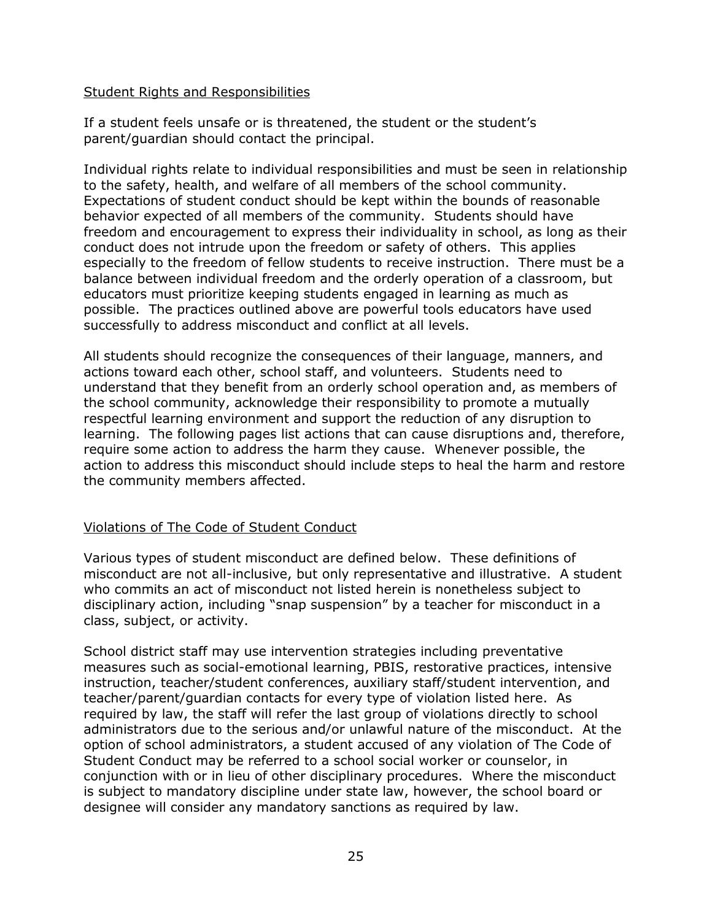#### Student Rights and Responsibilities

If a student feels unsafe or is threatened, the student or the student's parent/guardian should contact the principal.

Individual rights relate to individual responsibilities and must be seen in relationship to the safety, health, and welfare of all members of the school community. Expectations of student conduct should be kept within the bounds of reasonable behavior expected of all members of the community. Students should have freedom and encouragement to express their individuality in school, as long as their conduct does not intrude upon the freedom or safety of others. This applies especially to the freedom of fellow students to receive instruction. There must be a balance between individual freedom and the orderly operation of a classroom, but educators must prioritize keeping students engaged in learning as much as possible. The practices outlined above are powerful tools educators have used successfully to address misconduct and conflict at all levels.

All students should recognize the consequences of their language, manners, and actions toward each other, school staff, and volunteers. Students need to understand that they benefit from an orderly school operation and, as members of the school community, acknowledge their responsibility to promote a mutually respectful learning environment and support the reduction of any disruption to learning. The following pages list actions that can cause disruptions and, therefore, require some action to address the harm they cause. Whenever possible, the action to address this misconduct should include steps to heal the harm and restore the community members affected.

## Violations of The Code of Student Conduct

Various types of student misconduct are defined below. These definitions of misconduct are not all-inclusive, but only representative and illustrative. A student who commits an act of misconduct not listed herein is nonetheless subject to disciplinary action, including "snap suspension" by a teacher for misconduct in a class, subject, or activity.

School district staff may use intervention strategies including preventative measures such as social-emotional learning, PBIS, restorative practices, intensive instruction, teacher/student conferences, auxiliary staff/student intervention, and teacher/parent/guardian contacts for every type of violation listed here. As required by law, the staff will refer the last group of violations directly to school administrators due to the serious and/or unlawful nature of the misconduct. At the option of school administrators, a student accused of any violation of The Code of Student Conduct may be referred to a school social worker or counselor, in conjunction with or in lieu of other disciplinary procedures. Where the misconduct is subject to mandatory discipline under state law, however, the school board or designee will consider any mandatory sanctions as required by law.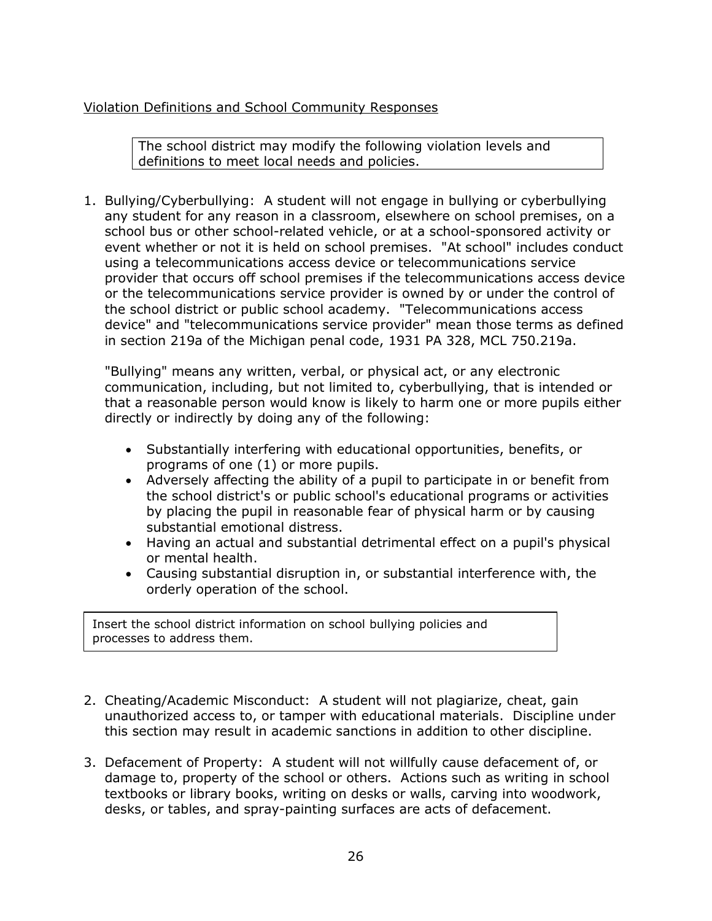## Violation Definitions and School Community Responses

The school district may modify the following violation levels and definitions to meet local needs and policies.

1. Bullying/Cyberbullying: A student will not engage in bullying or cyberbullying any student for any reason in a classroom, elsewhere on school premises, on a school bus or other school-related vehicle, or at a school-sponsored activity or event whether or not it is held on school premises. "At school" includes conduct using a telecommunications access device or telecommunications service provider that occurs off school premises if the telecommunications access device or the telecommunications service provider is owned by or under the control of the school district or public school academy. "Telecommunications access device" and "telecommunications service provider" mean those terms as defined in section 219a of the Michigan penal code, 1931 PA 328, MCL 750.219a.

"Bullying" means any written, verbal, or physical act, or any electronic communication, including, but not limited to, cyberbullying, that is intended or that a reasonable person would know is likely to harm one or more pupils either directly or indirectly by doing any of the following:

- Substantially interfering with educational opportunities, benefits, or programs of one (1) or more pupils.
- Adversely affecting the ability of a pupil to participate in or benefit from the school district's or public school's educational programs or activities by placing the pupil in reasonable fear of physical harm or by causing substantial emotional distress.
- Having an actual and substantial detrimental effect on a pupil's physical or mental health.
- Causing substantial disruption in, or substantial interference with, the orderly operation of the school.

Insert the school district information on school bullying policies and processes to address them.

- 2. Cheating/Academic Misconduct: A student will not plagiarize, cheat, gain unauthorized access to, or tamper with educational materials. Discipline under this section may result in academic sanctions in addition to other discipline.
- 3. Defacement of Property: A student will not willfully cause defacement of, or damage to, property of the school or others. Actions such as writing in school textbooks or library books, writing on desks or walls, carving into woodwork, desks, or tables, and spray-painting surfaces are acts of defacement.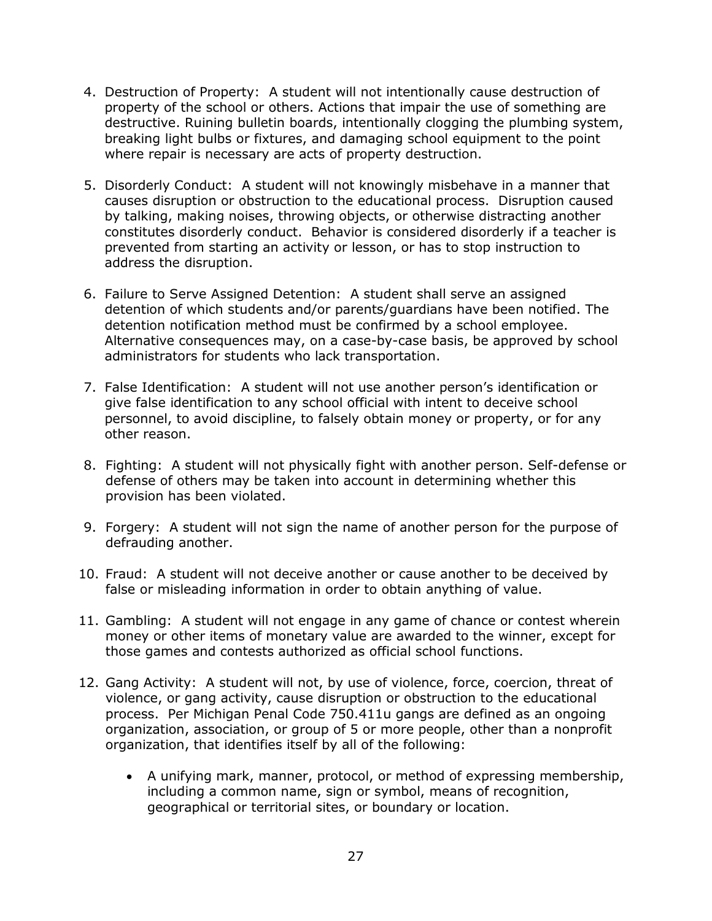- 4. Destruction of Property: A student will not intentionally cause destruction of property of the school or others. Actions that impair the use of something are destructive. Ruining bulletin boards, intentionally clogging the plumbing system, breaking light bulbs or fixtures, and damaging school equipment to the point where repair is necessary are acts of property destruction.
- 5. Disorderly Conduct: A student will not knowingly misbehave in a manner that causes disruption or obstruction to the educational process. Disruption caused by talking, making noises, throwing objects, or otherwise distracting another constitutes disorderly conduct. Behavior is considered disorderly if a teacher is prevented from starting an activity or lesson, or has to stop instruction to address the disruption.
- 6. Failure to Serve Assigned Detention: A student shall serve an assigned detention of which students and/or parents/guardians have been notified. The detention notification method must be confirmed by a school employee. Alternative consequences may, on a case-by-case basis, be approved by school administrators for students who lack transportation.
- 7. False Identification: A student will not use another person's identification or give false identification to any school official with intent to deceive school personnel, to avoid discipline, to falsely obtain money or property, or for any other reason.
- 8. Fighting: A student will not physically fight with another person. Self-defense or defense of others may be taken into account in determining whether this provision has been violated.
- 9. Forgery: A student will not sign the name of another person for the purpose of defrauding another.
- 10. Fraud: A student will not deceive another or cause another to be deceived by false or misleading information in order to obtain anything of value.
- 11. Gambling: A student will not engage in any game of chance or contest wherein money or other items of monetary value are awarded to the winner, except for those games and contests authorized as official school functions.
- 12. Gang Activity: A student will not, by use of violence, force, coercion, threat of violence, or gang activity, cause disruption or obstruction to the educational process. Per Michigan Penal Code 750.411u gangs are defined as an ongoing organization, association, or group of 5 or more people, other than a nonprofit organization, that identifies itself by all of the following:
	- A unifying mark, manner, protocol, or method of expressing membership, including a common name, sign or symbol, means of recognition, geographical or territorial sites, or boundary or location.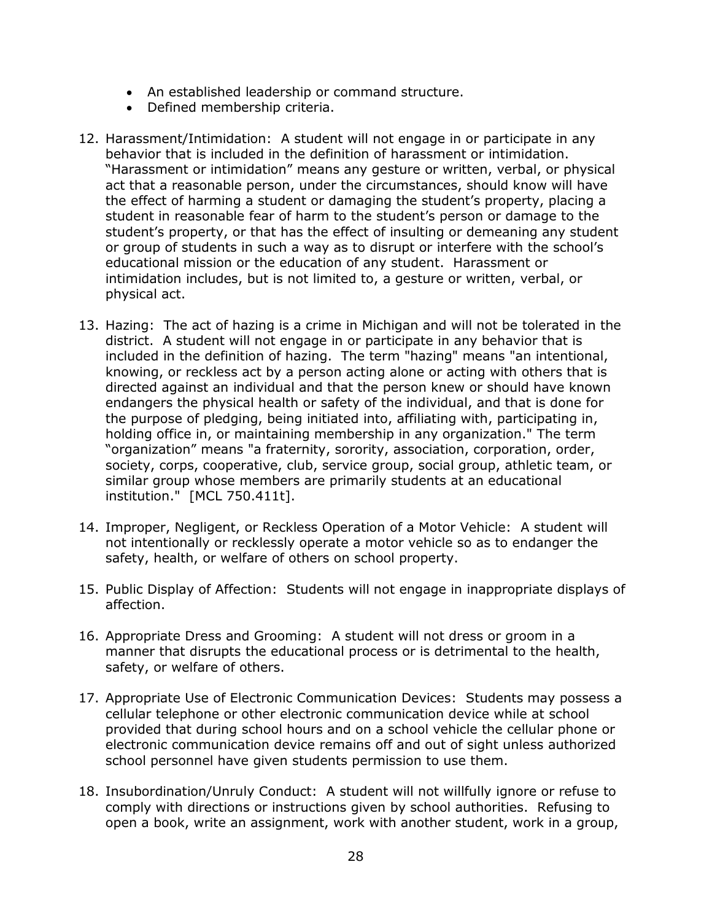- An established leadership or command structure.
- Defined membership criteria.
- 12. Harassment/Intimidation: A student will not engage in or participate in any behavior that is included in the definition of harassment or intimidation. "Harassment or intimidation" means any gesture or written, verbal, or physical act that a reasonable person, under the circumstances, should know will have the effect of harming a student or damaging the student's property, placing a student in reasonable fear of harm to the student's person or damage to the student's property, or that has the effect of insulting or demeaning any student or group of students in such a way as to disrupt or interfere with the school's educational mission or the education of any student. Harassment or intimidation includes, but is not limited to, a gesture or written, verbal, or physical act.
- 13. Hazing: The act of hazing is a crime in Michigan and will not be tolerated in the district. A student will not engage in or participate in any behavior that is included in the definition of hazing. The term "hazing" means "an intentional, knowing, or reckless act by a person acting alone or acting with others that is directed against an individual and that the person knew or should have known endangers the physical health or safety of the individual, and that is done for the purpose of pledging, being initiated into, affiliating with, participating in, holding office in, or maintaining membership in any organization." The term "organization" means "a fraternity, sorority, association, corporation, order, society, corps, cooperative, club, service group, social group, athletic team, or similar group whose members are primarily students at an educational institution." [MCL 750.411t].
- 14. Improper, Negligent, or Reckless Operation of a Motor Vehicle: A student will not intentionally or recklessly operate a motor vehicle so as to endanger the safety, health, or welfare of others on school property.
- 15. Public Display of Affection: Students will not engage in inappropriate displays of affection.
- 16. Appropriate Dress and Grooming: A student will not dress or groom in a manner that disrupts the educational process or is detrimental to the health, safety, or welfare of others.
- 17. Appropriate Use of Electronic Communication Devices: Students may possess a cellular telephone or other electronic communication device while at school provided that during school hours and on a school vehicle the cellular phone or electronic communication device remains off and out of sight unless authorized school personnel have given students permission to use them.
- 18. Insubordination/Unruly Conduct: A student will not willfully ignore or refuse to comply with directions or instructions given by school authorities. Refusing to open a book, write an assignment, work with another student, work in a group,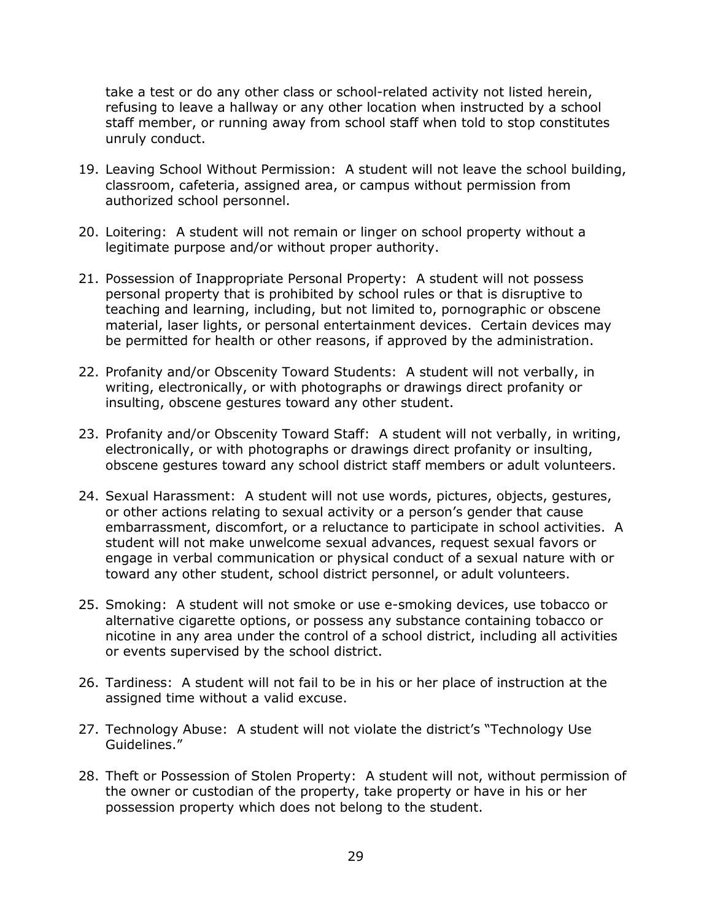take a test or do any other class or school-related activity not listed herein, refusing to leave a hallway or any other location when instructed by a school staff member, or running away from school staff when told to stop constitutes unruly conduct.

- 19. Leaving School Without Permission: A student will not leave the school building, classroom, cafeteria, assigned area, or campus without permission from authorized school personnel.
- 20. Loitering: A student will not remain or linger on school property without a legitimate purpose and/or without proper authority.
- 21. Possession of Inappropriate Personal Property: A student will not possess personal property that is prohibited by school rules or that is disruptive to teaching and learning, including, but not limited to, pornographic or obscene material, laser lights, or personal entertainment devices. Certain devices may be permitted for health or other reasons, if approved by the administration.
- 22. Profanity and/or Obscenity Toward Students: A student will not verbally, in writing, electronically, or with photographs or drawings direct profanity or insulting, obscene gestures toward any other student.
- 23. Profanity and/or Obscenity Toward Staff: A student will not verbally, in writing, electronically, or with photographs or drawings direct profanity or insulting, obscene gestures toward any school district staff members or adult volunteers.
- 24. Sexual Harassment: A student will not use words, pictures, objects, gestures, or other actions relating to sexual activity or a person's gender that cause embarrassment, discomfort, or a reluctance to participate in school activities. A student will not make unwelcome sexual advances, request sexual favors or engage in verbal communication or physical conduct of a sexual nature with or toward any other student, school district personnel, or adult volunteers.
- 25. Smoking: A student will not smoke or use e-smoking devices, use tobacco or alternative cigarette options, or possess any substance containing tobacco or nicotine in any area under the control of a school district, including all activities or events supervised by the school district.
- 26. Tardiness: A student will not fail to be in his or her place of instruction at the assigned time without a valid excuse.
- 27. Technology Abuse: A student will not violate the district's "Technology Use Guidelines."
- 28. Theft or Possession of Stolen Property: A student will not, without permission of the owner or custodian of the property, take property or have in his or her possession property which does not belong to the student.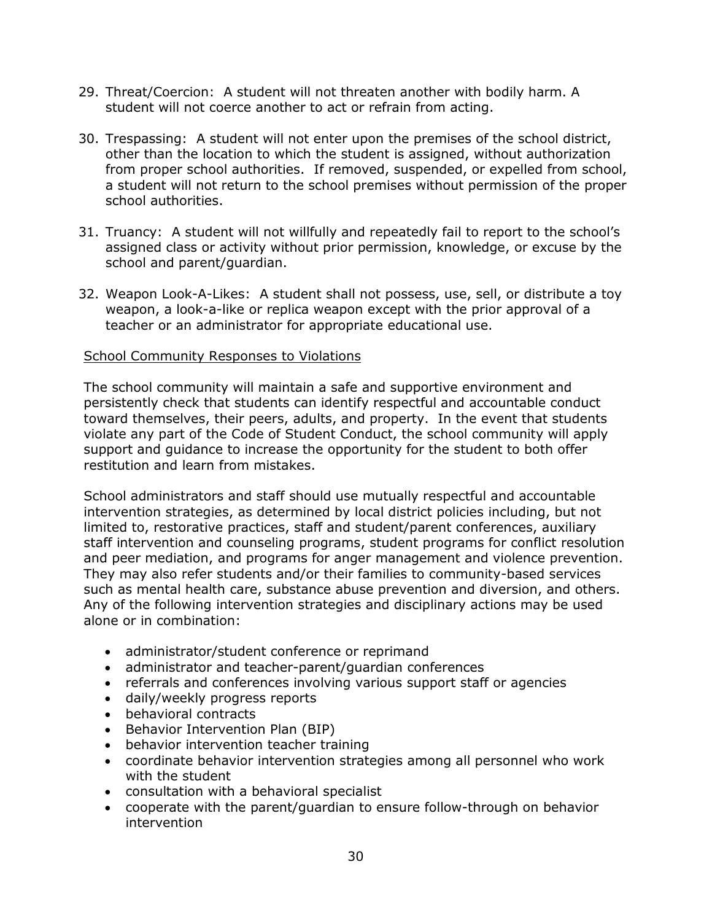- 29. Threat/Coercion: A student will not threaten another with bodily harm. A student will not coerce another to act or refrain from acting.
- 30. Trespassing: A student will not enter upon the premises of the school district, other than the location to which the student is assigned, without authorization from proper school authorities. If removed, suspended, or expelled from school, a student will not return to the school premises without permission of the proper school authorities.
- 31. Truancy: A student will not willfully and repeatedly fail to report to the school's assigned class or activity without prior permission, knowledge, or excuse by the school and parent/guardian.
- 32. Weapon Look-A-Likes: A student shall not possess, use, sell, or distribute a toy weapon, a look-a-like or replica weapon except with the prior approval of a teacher or an administrator for appropriate educational use.

#### School Community Responses to Violations

The school community will maintain a safe and supportive environment and persistently check that students can identify respectful and accountable conduct toward themselves, their peers, adults, and property. In the event that students violate any part of the Code of Student Conduct, the school community will apply support and guidance to increase the opportunity for the student to both offer restitution and learn from mistakes.

School administrators and staff should use mutually respectful and accountable intervention strategies, as determined by local district policies including, but not limited to, restorative practices, staff and student/parent conferences, auxiliary staff intervention and counseling programs, student programs for conflict resolution and peer mediation, and programs for anger management and violence prevention. They may also refer students and/or their families to community-based services such as mental health care, substance abuse prevention and diversion, and others. Any of the following intervention strategies and disciplinary actions may be used alone or in combination:

- administrator/student conference or reprimand
- administrator and teacher-parent/guardian conferences
- referrals and conferences involving various support staff or agencies
- daily/weekly progress reports
- behavioral contracts
- Behavior Intervention Plan (BIP)
- behavior intervention teacher training
- coordinate behavior intervention strategies among all personnel who work with the student
- consultation with a behavioral specialist
- cooperate with the parent/guardian to ensure follow-through on behavior intervention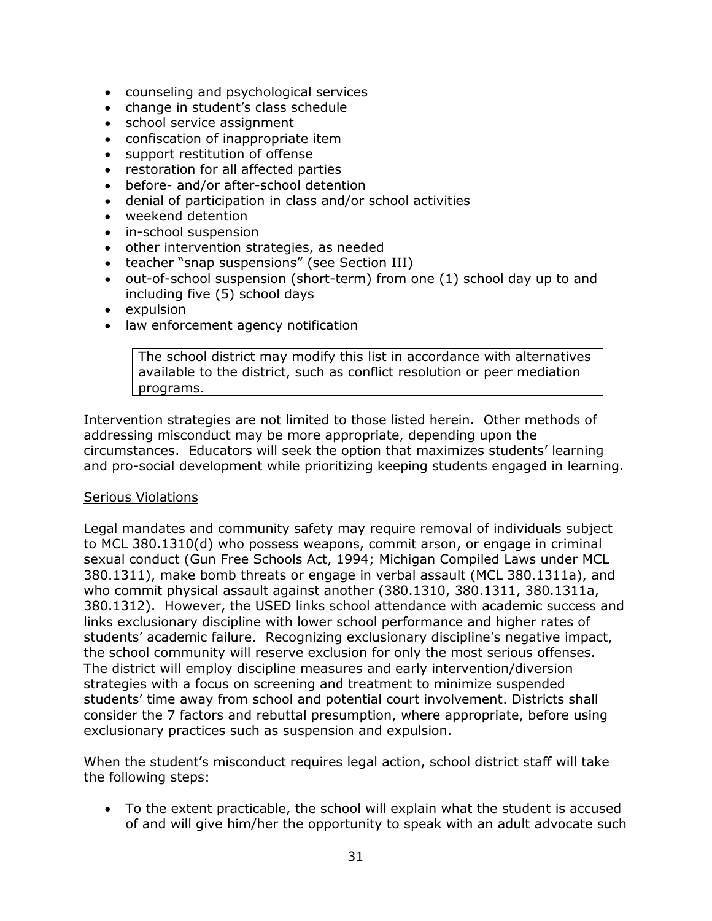- counseling and psychological services
- change in student's class schedule
- school service assignment
- confiscation of inappropriate item
- support restitution of offense
- restoration for all affected parties
- before- and/or after-school detention
- denial of participation in class and/or school activities
- weekend detention
- in-school suspension
- other intervention strategies, as needed
- teacher "snap suspensions" (see Section III)
- out-of-school suspension (short-term) from one (1) school day up to and including five (5) school days
- expulsion
- law enforcement agency notification

The school district may modify this list in accordance with alternatives available to the district, such as conflict resolution or peer mediation programs.

Intervention strategies are not limited to those listed herein. Other methods of addressing misconduct may be more appropriate, depending upon the circumstances. Educators will seek the option that maximizes students' learning and pro-social development while prioritizing keeping students engaged in learning.

#### Serious Violations

Legal mandates and community safety may require removal of individuals subject to MCL 380.1310(d) who possess weapons, commit arson, or engage in criminal sexual conduct (Gun Free Schools Act, 1994; Michigan Compiled Laws under MCL 380.1311), make bomb threats or engage in verbal assault (MCL 380.1311a), and who commit physical assault against another (380.1310, 380.1311, 380.1311a, 380.1312). However, the USED links school attendance with academic success and links exclusionary discipline with lower school performance and higher rates of students' academic failure. Recognizing exclusionary discipline's negative impact, the school community will reserve exclusion for only the most serious offenses. The district will employ discipline measures and early intervention/diversion strategies with a focus on screening and treatment to minimize suspended students' time away from school and potential court involvement. Districts shall consider the 7 factors and rebuttal presumption, where appropriate, before using exclusionary practices such as suspension and expulsion.

When the student's misconduct requires legal action, school district staff will take the following steps:

• To the extent practicable, the school will explain what the student is accused of and will give him/her the opportunity to speak with an adult advocate such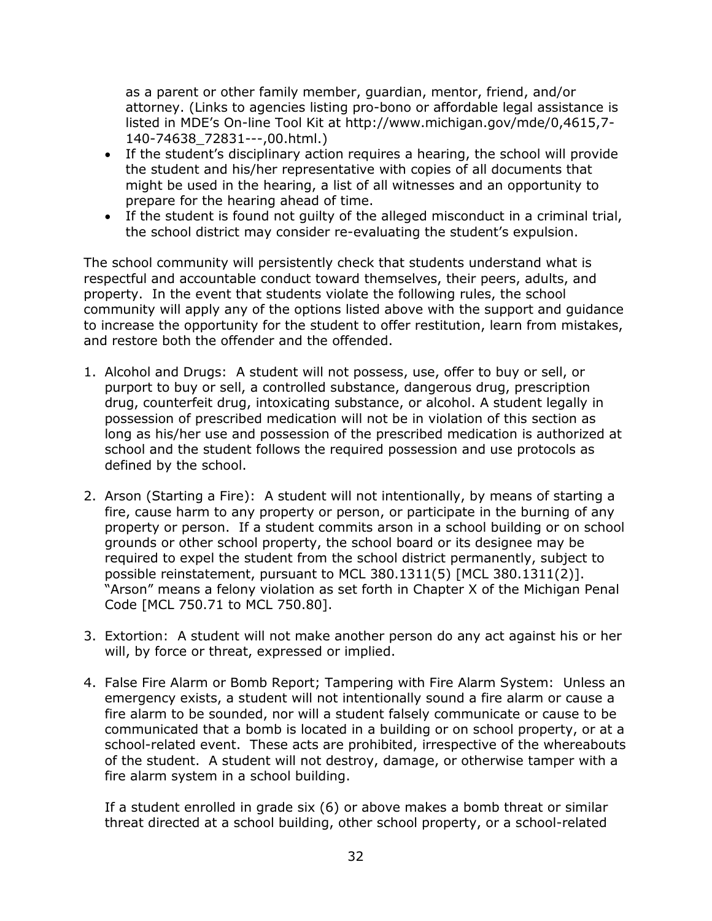as a parent or other family member, guardian, mentor, friend, and/or attorney. (Links to agencies listing pro-bono or affordable legal assistance is listed in MDE's On-line Tool Kit at http://www.michigan.gov/mde/0,4615,7- 140-74638\_72831---,00.html.)

- If the student's disciplinary action requires a hearing, the school will provide the student and his/her representative with copies of all documents that might be used in the hearing, a list of all witnesses and an opportunity to prepare for the hearing ahead of time.
- If the student is found not guilty of the alleged misconduct in a criminal trial, the school district may consider re-evaluating the student's expulsion.

The school community will persistently check that students understand what is respectful and accountable conduct toward themselves, their peers, adults, and property. In the event that students violate the following rules, the school community will apply any of the options listed above with the support and guidance to increase the opportunity for the student to offer restitution, learn from mistakes, and restore both the offender and the offended.

- 1. Alcohol and Drugs: A student will not possess, use, offer to buy or sell, or purport to buy or sell, a controlled substance, dangerous drug, prescription drug, counterfeit drug, intoxicating substance, or alcohol. A student legally in possession of prescribed medication will not be in violation of this section as long as his/her use and possession of the prescribed medication is authorized at school and the student follows the required possession and use protocols as defined by the school.
- 2. Arson (Starting a Fire): A student will not intentionally, by means of starting a fire, cause harm to any property or person, or participate in the burning of any property or person. If a student commits arson in a school building or on school grounds or other school property, the school board or its designee may be required to expel the student from the school district permanently, subject to possible reinstatement, pursuant to MCL 380.1311(5) [MCL 380.1311(2)]. "Arson" means a felony violation as set forth in Chapter X of the Michigan Penal Code [MCL 750.71 to MCL 750.80].
- 3. Extortion: A student will not make another person do any act against his or her will, by force or threat, expressed or implied.
- 4. False Fire Alarm or Bomb Report; Tampering with Fire Alarm System: Unless an emergency exists, a student will not intentionally sound a fire alarm or cause a fire alarm to be sounded, nor will a student falsely communicate or cause to be communicated that a bomb is located in a building or on school property, or at a school-related event. These acts are prohibited, irrespective of the whereabouts of the student. A student will not destroy, damage, or otherwise tamper with a fire alarm system in a school building.

If a student enrolled in grade six (6) or above makes a bomb threat or similar threat directed at a school building, other school property, or a school-related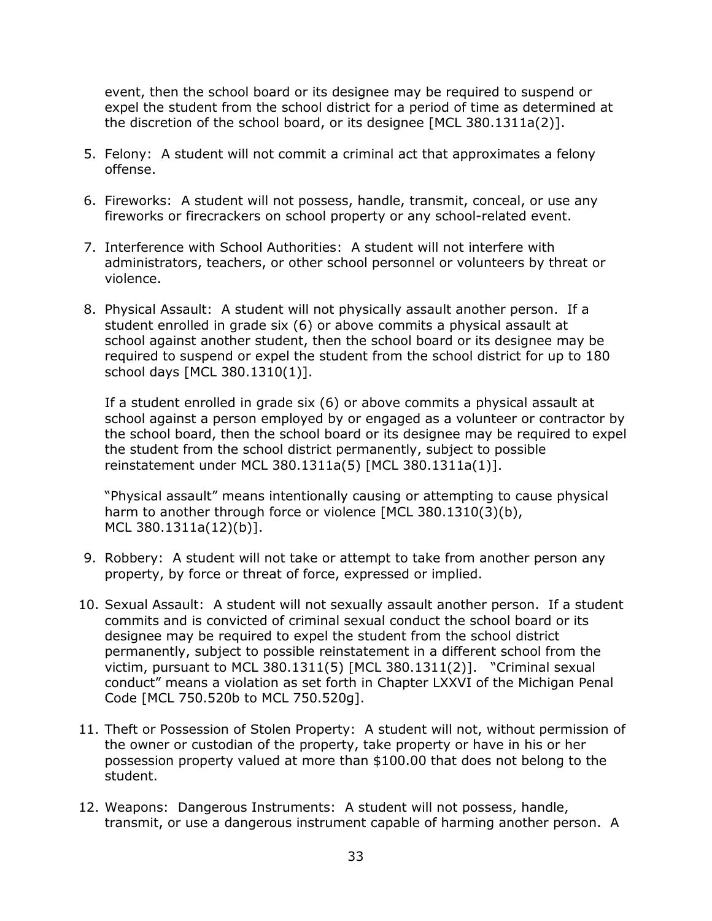event, then the school board or its designee may be required to suspend or expel the student from the school district for a period of time as determined at the discretion of the school board, or its designee [MCL 380.1311a(2)].

- 5. Felony: A student will not commit a criminal act that approximates a felony offense.
- 6. Fireworks: A student will not possess, handle, transmit, conceal, or use any fireworks or firecrackers on school property or any school-related event.
- 7. Interference with School Authorities: A student will not interfere with administrators, teachers, or other school personnel or volunteers by threat or violence.
- 8. Physical Assault: A student will not physically assault another person. If a student enrolled in grade six (6) or above commits a physical assault at school against another student, then the school board or its designee may be required to suspend or expel the student from the school district for up to 180 school days [MCL 380.1310(1)].

If a student enrolled in grade six (6) or above commits a physical assault at school against a person employed by or engaged as a volunteer or contractor by the school board, then the school board or its designee may be required to expel the student from the school district permanently, subject to possible reinstatement under MCL 380.1311a(5) [MCL 380.1311a(1)].

"Physical assault" means intentionally causing or attempting to cause physical harm to another through force or violence [MCL 380.1310(3)(b), MCL 380.1311a(12)(b)].

- 9. Robbery: A student will not take or attempt to take from another person any property, by force or threat of force, expressed or implied.
- 10. Sexual Assault: A student will not sexually assault another person. If a student commits and is convicted of criminal sexual conduct the school board or its designee may be required to expel the student from the school district permanently, subject to possible reinstatement in a different school from the victim, pursuant to MCL 380.1311(5) [MCL 380.1311(2)]. "Criminal sexual conduct" means a violation as set forth in Chapter LXXVI of the Michigan Penal Code [MCL 750.520b to MCL 750.520g].
- 11. Theft or Possession of Stolen Property: A student will not, without permission of the owner or custodian of the property, take property or have in his or her possession property valued at more than \$100.00 that does not belong to the student.
- 12. Weapons: Dangerous Instruments: A student will not possess, handle, transmit, or use a dangerous instrument capable of harming another person. A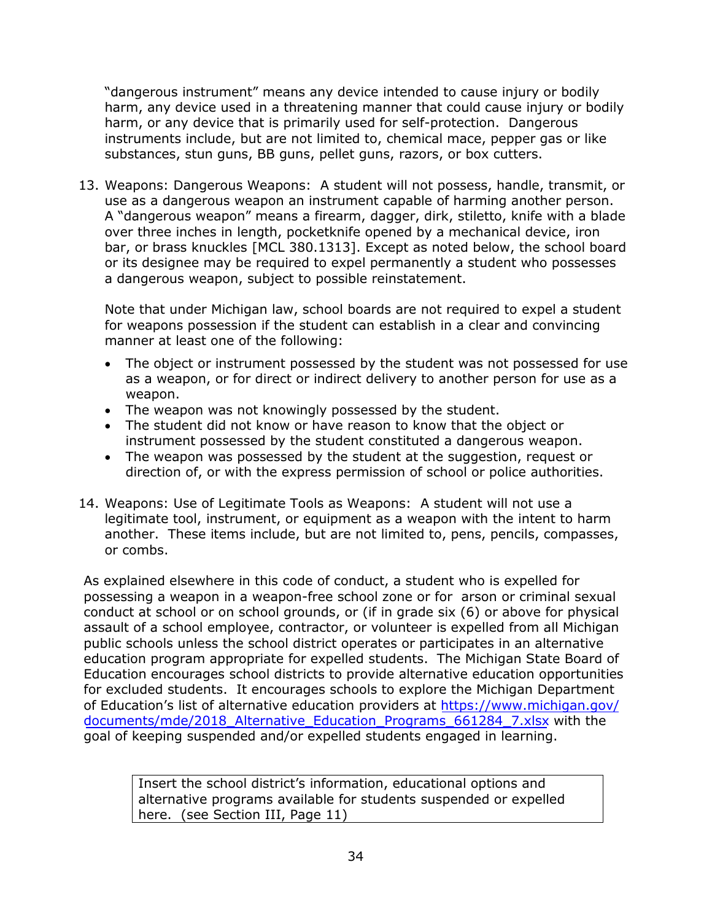"dangerous instrument" means any device intended to cause injury or bodily harm, any device used in a threatening manner that could cause injury or bodily harm, or any device that is primarily used for self-protection. Dangerous instruments include, but are not limited to, chemical mace, pepper gas or like substances, stun guns, BB guns, pellet guns, razors, or box cutters.

13. Weapons: Dangerous Weapons: A student will not possess, handle, transmit, or use as a dangerous weapon an instrument capable of harming another person. A "dangerous weapon" means a firearm, dagger, dirk, stiletto, knife with a blade over three inches in length, pocketknife opened by a mechanical device, iron bar, or brass knuckles [MCL 380.1313]. Except as noted below, the school board or its designee may be required to expel permanently a student who possesses a dangerous weapon, subject to possible reinstatement.

Note that under Michigan law, school boards are not required to expel a student for weapons possession if the student can establish in a clear and convincing manner at least one of the following:

- The object or instrument possessed by the student was not possessed for use as a weapon, or for direct or indirect delivery to another person for use as a weapon.
- The weapon was not knowingly possessed by the student.
- The student did not know or have reason to know that the object or instrument possessed by the student constituted a dangerous weapon.
- The weapon was possessed by the student at the suggestion, request or direction of, or with the express permission of school or police authorities.
- 14. Weapons: Use of Legitimate Tools as Weapons: A student will not use a legitimate tool, instrument, or equipment as a weapon with the intent to harm another. These items include, but are not limited to, pens, pencils, compasses, or combs.

As explained elsewhere in this code of conduct, a student who is expelled for possessing a weapon in a weapon-free school zone or for arson or criminal sexual conduct at school or on school grounds, or (if in grade six (6) or above for physical assault of a school employee, contractor, or volunteer is expelled from all Michigan public schools unless the school district operates or participates in an alternative education program appropriate for expelled students. The Michigan State Board of Education encourages school districts to provide alternative education opportunities for excluded students. It encourages schools to explore the Michigan Department of Education's list of alternative education providers at https://www.michigan.gov/ documents/mde/2018\_Alternative\_Education\_Programs\_661284\_7.xlsx with the [goal of ke](http://www.michigan.gov/safeschools/0,4665,7-181-49444-232580--,00.html)eping suspended and/or expelled students engaged in learning.

Insert the school district's information, educational options and alternative programs available for students suspended or expelled here. (see Section III, Page 11)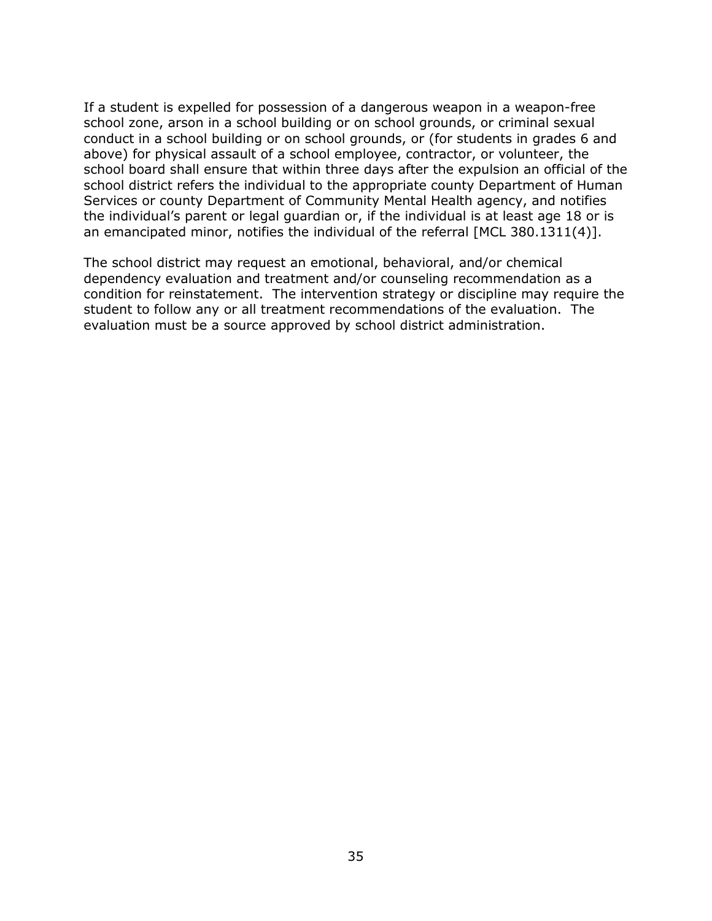If a student is expelled for possession of a dangerous weapon in a weapon-free school zone, arson in a school building or on school grounds, or criminal sexual conduct in a school building or on school grounds, or (for students in grades 6 and above) for physical assault of a school employee, contractor, or volunteer, the school board shall ensure that within three days after the expulsion an official of the school district refers the individual to the appropriate county Department of Human Services or county Department of Community Mental Health agency, and notifies the individual's parent or legal guardian or, if the individual is at least age 18 or is an emancipated minor, notifies the individual of the referral [MCL 380.1311(4)].

The school district may request an emotional, behavioral, and/or chemical dependency evaluation and treatment and/or counseling recommendation as a condition for reinstatement. The intervention strategy or discipline may require the student to follow any or all treatment recommendations of the evaluation. The evaluation must be a source approved by school district administration.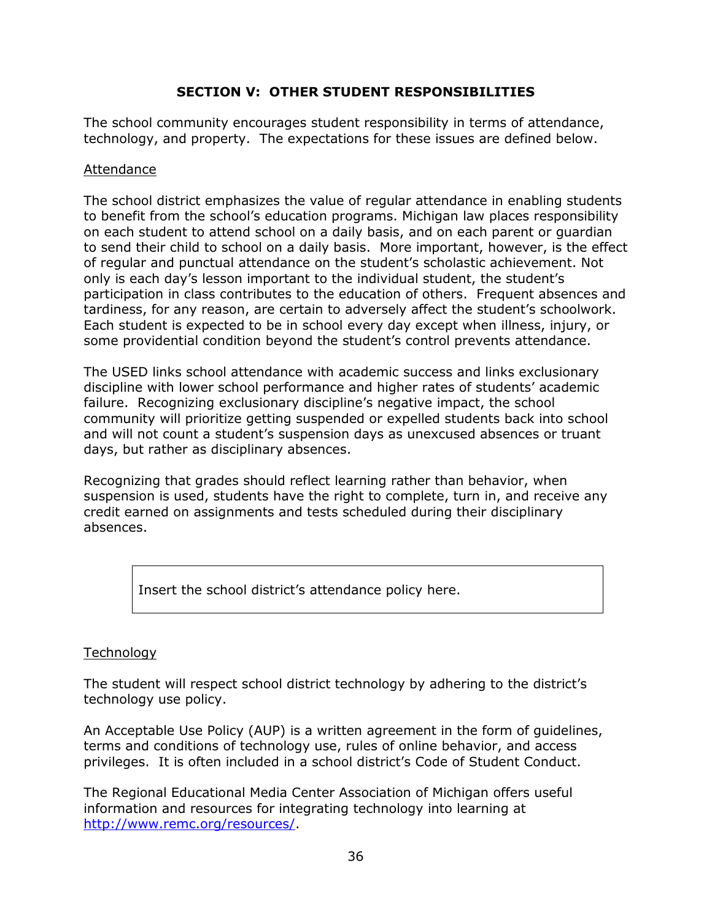## **SECTION V: OTHER STUDENT RESPONSIBILITIES**

The school community encourages student responsibility in terms of attendance, technology, and property. The expectations for these issues are defined below.

### Attendance

The school district emphasizes the value of regular attendance in enabling students to benefit from the school's education programs. Michigan law places responsibility on each student to attend school on a daily basis, and on each parent or guardian to send their child to school on a daily basis. More important, however, is the effect of regular and punctual attendance on the student's scholastic achievement. Not only is each day's lesson important to the individual student, the student's participation in class contributes to the education of others. Frequent absences and tardiness, for any reason, are certain to adversely affect the student's schoolwork. Each student is expected to be in school every day except when illness, injury, or some providential condition beyond the student's control prevents attendance.

The USED links school attendance with academic success and links exclusionary discipline with lower school performance and higher rates of students' academic failure. Recognizing exclusionary discipline's negative impact, the school community will prioritize getting suspended or expelled students back into school and will not count a student's suspension days as unexcused absences or truant days, but rather as disciplinary absences.

Recognizing that grades should reflect learning rather than behavior, when suspension is used, students have the right to complete, turn in, and receive any credit earned on assignments and tests scheduled during their disciplinary absences.

Insert the school district's attendance policy here.

## **Technology**

The student will respect school district technology by adhering to the district's technology use policy.

An Acceptable Use Policy (AUP) is a written agreement in the form of guidelines, terms and conditions of technology use, rules of online behavior, and access privileges. It is often included in a school district's Code of Student Conduct.

The Regional Educational Media Center Association of Michigan offers useful information and resources for integrating technology into learning at [http://www.remc.org/resources/.](http://www.remc.org/resources/)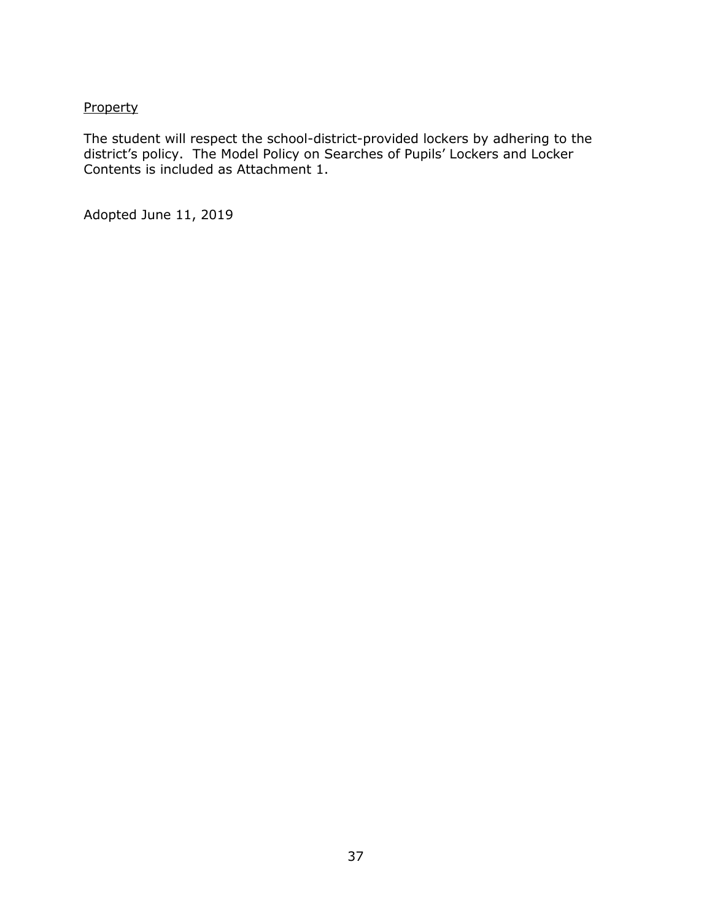## **Property**

The student will respect the school-district-provided lockers by adhering to the district's policy. The Model Policy on Searches of Pupils' Lockers and Locker Contents is included as Attachment 1.

Adopted June 11, 2019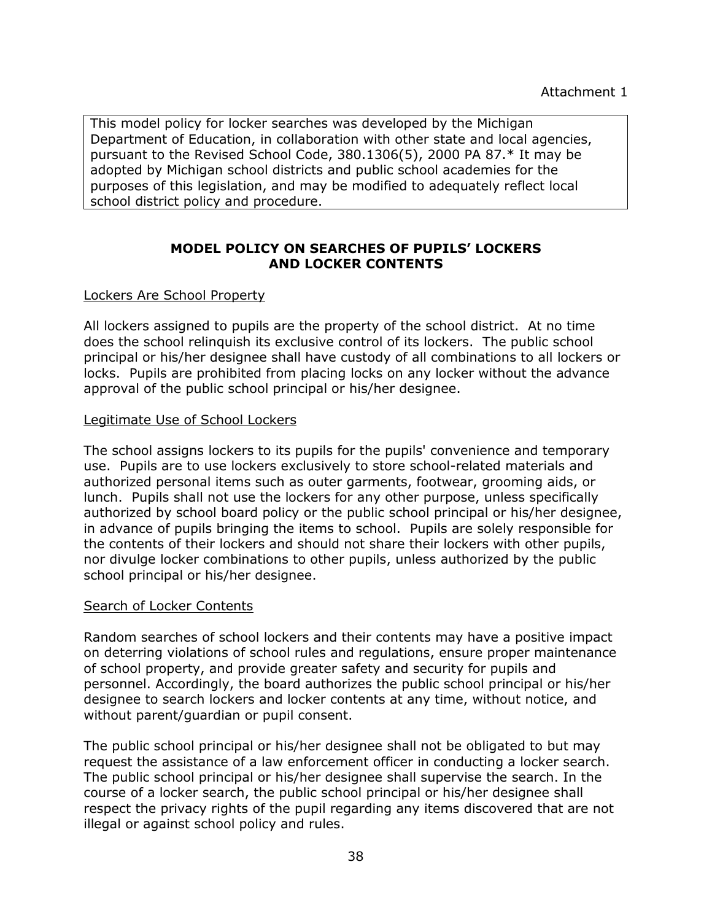This model policy for locker searches was developed by the Michigan Department of Education, in collaboration with other state and local agencies, pursuant to the Revised School Code, 380.1306(5), 2000 PA 87.\* It may be adopted by Michigan school districts and public school academies for the purposes of this legislation, and may be modified to adequately reflect local school district policy and procedure.

## **MODEL POLICY ON SEARCHES OF PUPILS' LOCKERS AND LOCKER CONTENTS**

#### Lockers Are School Property

All lockers assigned to pupils are the property of the school district. At no time does the school relinquish its exclusive control of its lockers. The public school principal or his/her designee shall have custody of all combinations to all lockers or locks. Pupils are prohibited from placing locks on any locker without the advance approval of the public school principal or his/her designee.

#### Legitimate Use of School Lockers

The school assigns lockers to its pupils for the pupils' convenience and temporary use. Pupils are to use lockers exclusively to store school-related materials and authorized personal items such as outer garments, footwear, grooming aids, or lunch. Pupils shall not use the lockers for any other purpose, unless specifically authorized by school board policy or the public school principal or his/her designee, in advance of pupils bringing the items to school. Pupils are solely responsible for the contents of their lockers and should not share their lockers with other pupils, nor divulge locker combinations to other pupils, unless authorized by the public school principal or his/her designee.

#### Search of Locker Contents

Random searches of school lockers and their contents may have a positive impact on deterring violations of school rules and regulations, ensure proper maintenance of school property, and provide greater safety and security for pupils and personnel. Accordingly, the board authorizes the public school principal or his/her designee to search lockers and locker contents at any time, without notice, and without parent/guardian or pupil consent.

The public school principal or his/her designee shall not be obligated to but may request the assistance of a law enforcement officer in conducting a locker search. The public school principal or his/her designee shall supervise the search. In the course of a locker search, the public school principal or his/her designee shall respect the privacy rights of the pupil regarding any items discovered that are not illegal or against school policy and rules.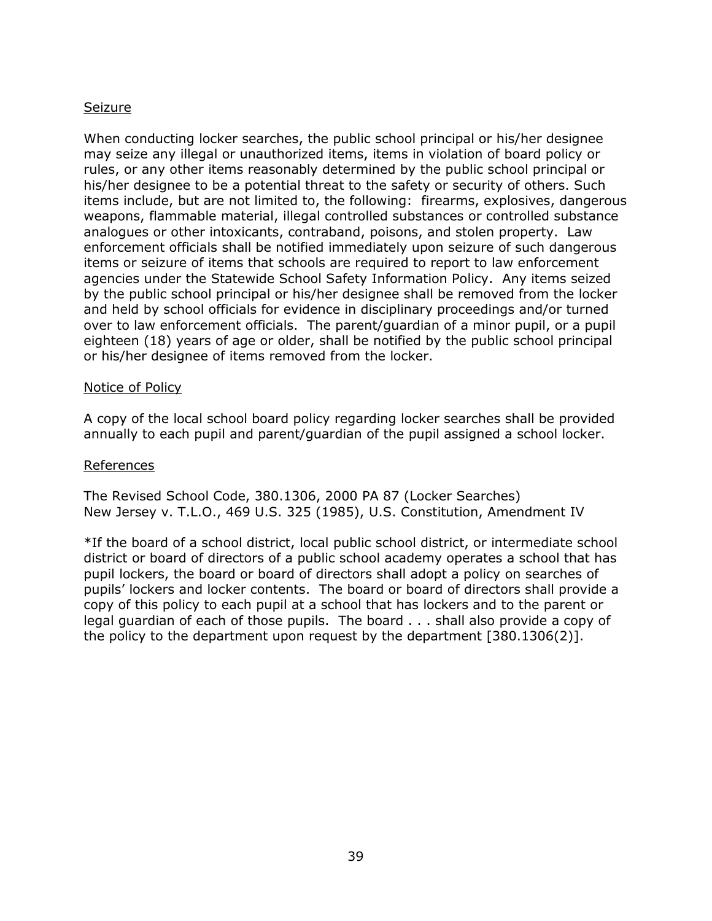### **Seizure**

When conducting locker searches, the public school principal or his/her designee may seize any illegal or unauthorized items, items in violation of board policy or rules, or any other items reasonably determined by the public school principal or his/her designee to be a potential threat to the safety or security of others. Such items include, but are not limited to, the following: firearms, explosives, dangerous weapons, flammable material, illegal controlled substances or controlled substance analogues or other intoxicants, contraband, poisons, and stolen property. Law enforcement officials shall be notified immediately upon seizure of such dangerous items or seizure of items that schools are required to report to law enforcement agencies under the Statewide School Safety Information Policy. Any items seized by the public school principal or his/her designee shall be removed from the locker and held by school officials for evidence in disciplinary proceedings and/or turned over to law enforcement officials. The parent/guardian of a minor pupil, or a pupil eighteen (18) years of age or older, shall be notified by the public school principal or his/her designee of items removed from the locker.

#### Notice of Policy

A copy of the local school board policy regarding locker searches shall be provided annually to each pupil and parent/guardian of the pupil assigned a school locker.

#### References

The Revised School Code, 380.1306, 2000 PA 87 (Locker Searches) New Jersey v. T.L.O., 469 U.S. 325 (1985), U.S. Constitution, Amendment IV

\*If the board of a school district, local public school district, or intermediate school district or board of directors of a public school academy operates a school that has pupil lockers, the board or board of directors shall adopt a policy on searches of pupils' lockers and locker contents. The board or board of directors shall provide a copy of this policy to each pupil at a school that has lockers and to the parent or legal guardian of each of those pupils. The board . . . shall also provide a copy of the policy to the department upon request by the department [380.1306(2)].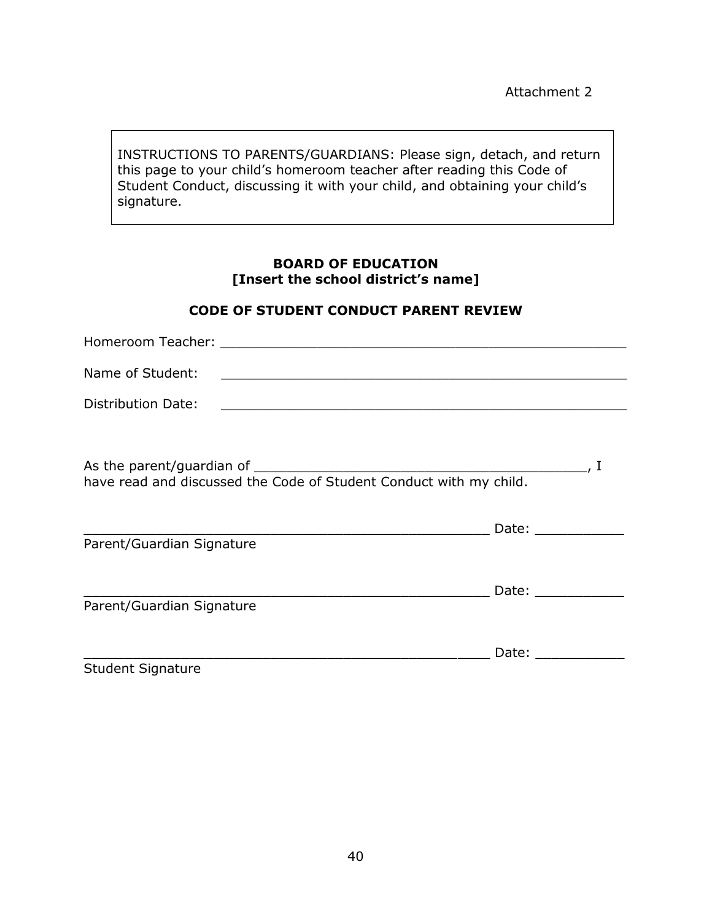INSTRUCTIONS TO PARENTS/GUARDIANS: Please sign, detach, and return this page to your child's homeroom teacher after reading this Code of Student Conduct, discussing it with your child, and obtaining your child's signature.

### **BOARD OF EDUCATION [Insert the school district's name]**

#### **CODE OF STUDENT CONDUCT PARENT REVIEW**

| Name of Student:          | <u> 2002 - Johann John Stein, mars and der Stein and der Stein and der Stein and der Stein and der Stein and der S</u> |                                                                                                                                                                                                                                |  |
|---------------------------|------------------------------------------------------------------------------------------------------------------------|--------------------------------------------------------------------------------------------------------------------------------------------------------------------------------------------------------------------------------|--|
| Distribution Date:        | <u> 2000 - Jan Barat de Barbara, marca de la contrada de la contrada de la contrada de la contrada de la contrada</u>  |                                                                                                                                                                                                                                |  |
|                           |                                                                                                                        |                                                                                                                                                                                                                                |  |
| Parent/Guardian Signature | <u> Alexandria de la contrada de la contrada de la contrada de la contrada de la contrada de la contrada de la c</u>   | Date: the contract of the contract of the contract of the contract of the contract of the contract of the contract of the contract of the contract of the contract of the contract of the contract of the contract of the cont |  |
| Parent/Guardian Signature | <u> 1989 - Johann Barn, mars and de Branch Barn, mars and de Branch Barn, mars and de Branch Barn, mars and de Br</u>  | Date: Date:                                                                                                                                                                                                                    |  |
| <b>Student Signature</b>  |                                                                                                                        |                                                                                                                                                                                                                                |  |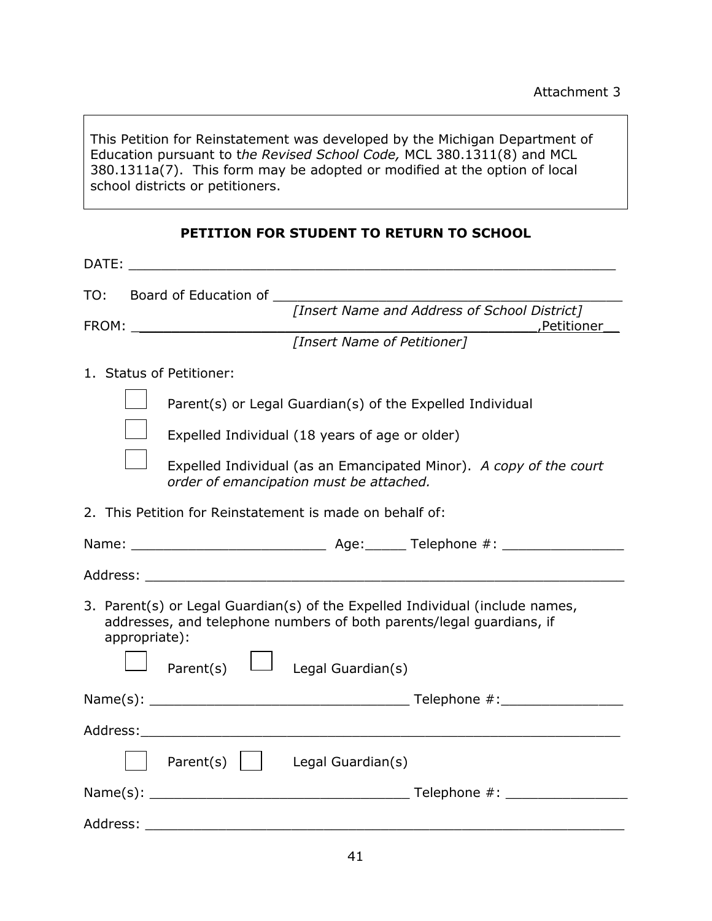This Petition for Reinstatement was developed by the Michigan Department of Education pursuant to t*he Revised School Code,* MCL 380.1311(8) and MCL 380.1311a(7). This form may be adopted or modified at the option of local school districts or petitioners.

|               | DATE: the contract of the contract of the contract of the contract of the contract of the contract of the contract of the contract of the contract of the contract of the contract of the contract of the contract of the cont |  |  |  |
|---------------|--------------------------------------------------------------------------------------------------------------------------------------------------------------------------------------------------------------------------------|--|--|--|
|               |                                                                                                                                                                                                                                |  |  |  |
|               | TO: Board of Education of <i>[Insert Name and Address of School District]</i>                                                                                                                                                  |  |  |  |
|               | [Insert Name of Petitioner]                                                                                                                                                                                                    |  |  |  |
|               | 1. Status of Petitioner:                                                                                                                                                                                                       |  |  |  |
|               | Parent(s) or Legal Guardian(s) of the Expelled Individual                                                                                                                                                                      |  |  |  |
|               | Expelled Individual (18 years of age or older)                                                                                                                                                                                 |  |  |  |
|               | Expelled Individual (as an Emancipated Minor). A copy of the court                                                                                                                                                             |  |  |  |
|               | order of emancipation must be attached.                                                                                                                                                                                        |  |  |  |
|               | 2. This Petition for Reinstatement is made on behalf of:                                                                                                                                                                       |  |  |  |
|               |                                                                                                                                                                                                                                |  |  |  |
|               |                                                                                                                                                                                                                                |  |  |  |
| appropriate): | 3. Parent(s) or Legal Guardian(s) of the Expelled Individual (include names,<br>addresses, and telephone numbers of both parents/legal guardians, if                                                                           |  |  |  |
|               | $\Box$ Parent(s) $\Box$ Legal Guardian(s)                                                                                                                                                                                      |  |  |  |
|               |                                                                                                                                                                                                                                |  |  |  |
|               |                                                                                                                                                                                                                                |  |  |  |
|               | Parent(s)     Legal Guardian(s)                                                                                                                                                                                                |  |  |  |
|               |                                                                                                                                                                                                                                |  |  |  |
| Address:      |                                                                                                                                                                                                                                |  |  |  |

# **PETITION FOR STUDENT TO RETURN TO SCHOOL**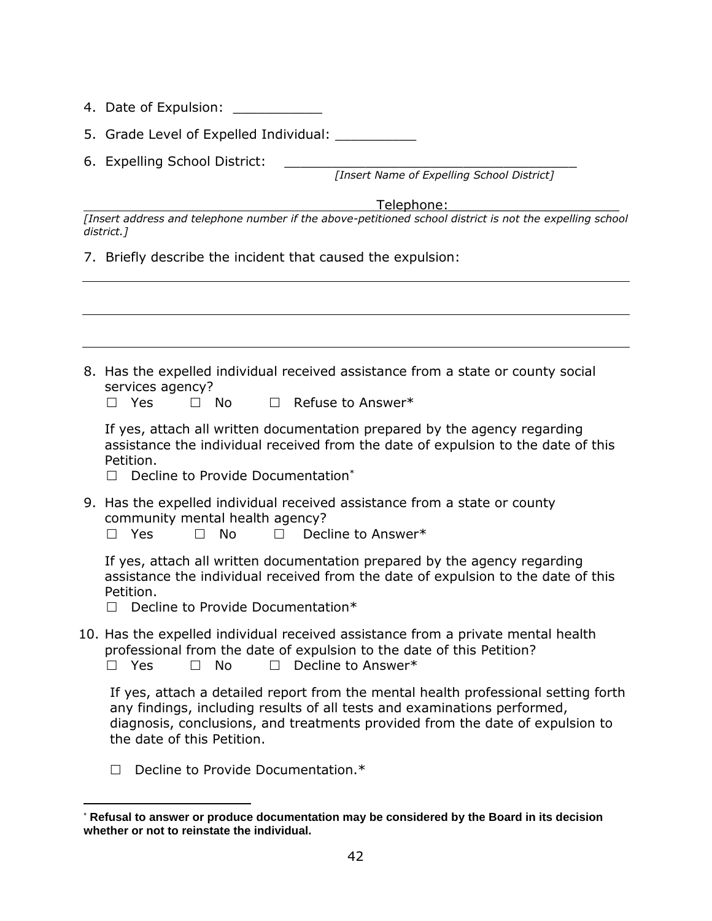- 4. Date of Expulsion: \_\_\_\_\_\_\_\_\_\_\_
- 5. Grade Level of Expelled Individual: \_\_\_\_\_\_\_\_\_\_
- 6. Expelling School District:

*[Insert Name of Expelling School District]*

Telephone:

*[Insert address and telephone number if the above-petitioned school district is not the expelling school district.]*

7. Briefly describe the incident that caused the expulsion:

| 8. Has the expelled individual received assistance from a state or county social<br>services agency?                                                                                                                                                                          |
|-------------------------------------------------------------------------------------------------------------------------------------------------------------------------------------------------------------------------------------------------------------------------------|
| $\Box$ Refuse to Answer*<br>$\Box$ Yes<br>$\square$ No                                                                                                                                                                                                                        |
| If yes, attach all written documentation prepared by the agency regarding<br>assistance the individual received from the date of expulsion to the date of this<br>Petition.                                                                                                   |
| Decline to Provide Documentation*<br>$\Box$                                                                                                                                                                                                                                   |
| 9. Has the expelled individual received assistance from a state or county<br>community mental health agency?<br>Decline to Answer*<br>Yes<br><b>No</b><br>$\Box$<br>П<br>П                                                                                                    |
| If yes, attach all written documentation prepared by the agency regarding<br>assistance the individual received from the date of expulsion to the date of this<br>Petition.<br>Decline to Provide Documentation*<br>П                                                         |
| 10. Has the expelled individual received assistance from a private mental health<br>professional from the date of expulsion to the date of this Petition?<br><b>No</b><br>Decline to Answer*<br>Yes                                                                           |
| If yes, attach a detailed report from the mental health professional setting forth<br>any findings, including results of all tests and examinations performed,<br>diagnosis, conclusions, and treatments provided from the date of expulsion to<br>the date of this Petition. |

D Decline to Provide Documentation.\*

<sup>\*</sup> **Refusal to answer or produce documentation may be considered by the Board in its decision whether or not to reinstate the individual.**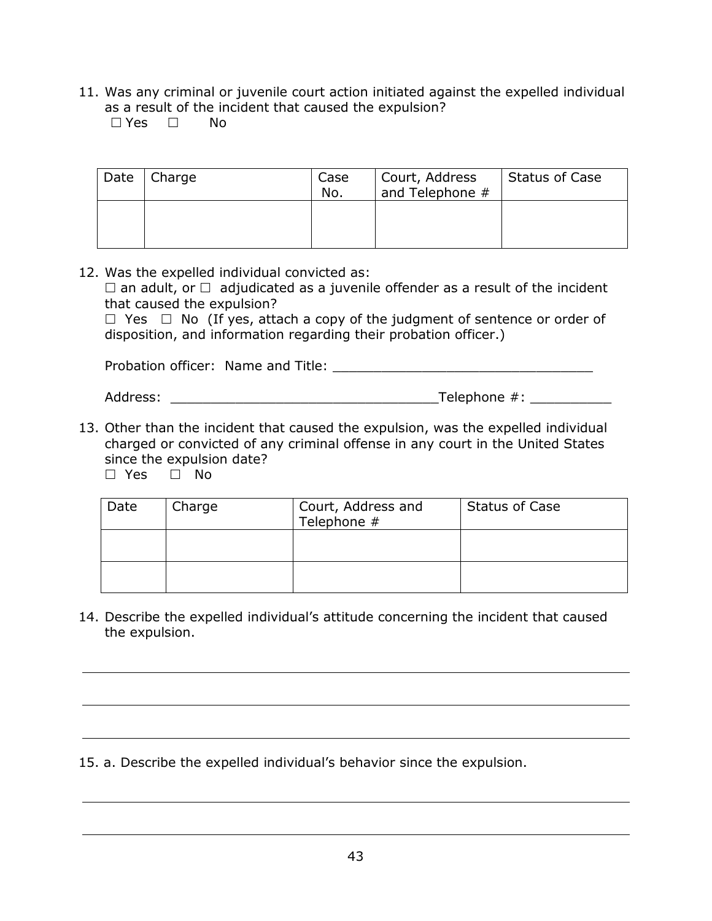11. Was any criminal or juvenile court action initiated against the expelled individual as a result of the incident that caused the expulsion?

 $\Box$  Yes  $\Box$  No

| Date | Charge | Case<br>No. | Court, Address<br>and Telephone # | Status of Case |
|------|--------|-------------|-----------------------------------|----------------|
|      |        |             |                                   |                |

12. Was the expelled individual convicted as:

 $\Box$  an adult, or  $\Box$  adjudicated as a juvenile offender as a result of the incident that caused the expulsion?

 $\Box$  Yes  $\Box$  No (If yes, attach a copy of the judgment of sentence or order of disposition, and information regarding their probation officer.)

Probation officer: Name and Title: \_\_\_\_\_\_\_\_\_\_\_\_\_\_\_\_\_\_\_\_\_\_\_\_\_\_\_\_\_\_\_\_

Address: \_\_\_\_\_\_\_\_\_\_\_\_\_\_\_\_\_\_\_\_\_\_\_\_\_\_\_\_\_\_\_\_\_Telephone #: \_\_\_\_\_\_\_\_\_\_

13. Other than the incident that caused the expulsion, was the expelled individual charged or convicted of any criminal offense in any court in the United States since the expulsion date?

 $\square$  Yes  $\square$  No

| Date | Charge | Court, Address and<br>Telephone # | <b>Status of Case</b> |
|------|--------|-----------------------------------|-----------------------|
|      |        |                                   |                       |
|      |        |                                   |                       |

14. Describe the expelled individual's attitude concerning the incident that caused the expulsion.

15. a. Describe the expelled individual's behavior since the expulsion.